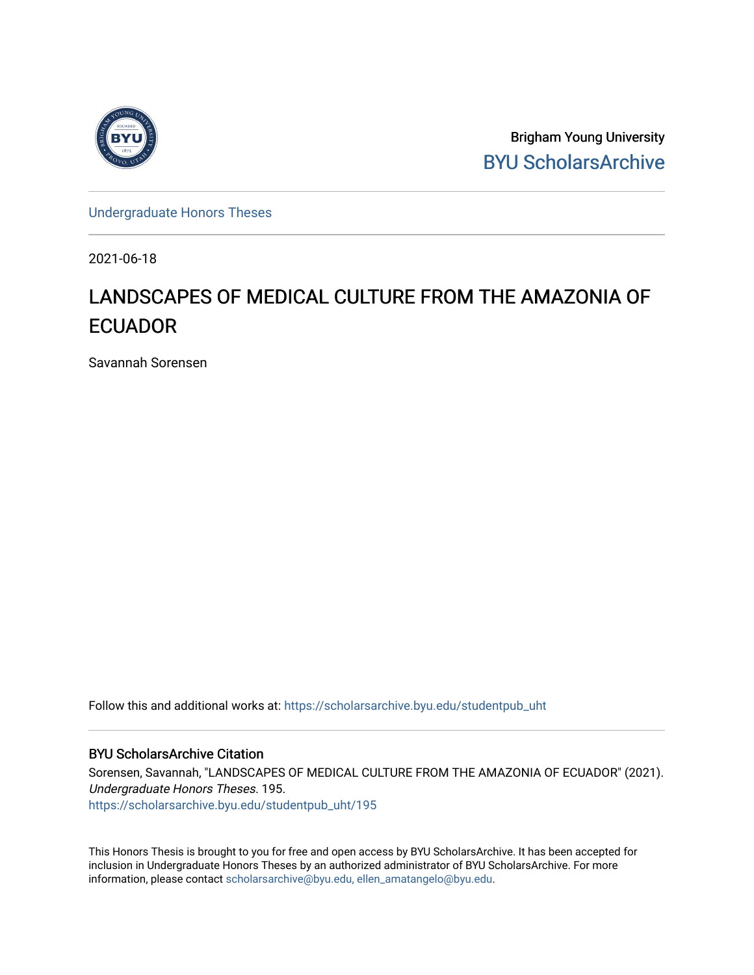

Brigham Young University [BYU ScholarsArchive](https://scholarsarchive.byu.edu/) 

[Undergraduate Honors Theses](https://scholarsarchive.byu.edu/studentpub_uht) 

2021-06-18

# LANDSCAPES OF MEDICAL CULTURE FROM THE AMAZONIA OF **ECUADOR**

Savannah Sorensen

Follow this and additional works at: [https://scholarsarchive.byu.edu/studentpub\\_uht](https://scholarsarchive.byu.edu/studentpub_uht?utm_source=scholarsarchive.byu.edu%2Fstudentpub_uht%2F195&utm_medium=PDF&utm_campaign=PDFCoverPages) 

#### BYU ScholarsArchive Citation

Sorensen, Savannah, "LANDSCAPES OF MEDICAL CULTURE FROM THE AMAZONIA OF ECUADOR" (2021). Undergraduate Honors Theses. 195. [https://scholarsarchive.byu.edu/studentpub\\_uht/195](https://scholarsarchive.byu.edu/studentpub_uht/195?utm_source=scholarsarchive.byu.edu%2Fstudentpub_uht%2F195&utm_medium=PDF&utm_campaign=PDFCoverPages)

This Honors Thesis is brought to you for free and open access by BYU ScholarsArchive. It has been accepted for inclusion in Undergraduate Honors Theses by an authorized administrator of BYU ScholarsArchive. For more information, please contact [scholarsarchive@byu.edu, ellen\\_amatangelo@byu.edu.](mailto:scholarsarchive@byu.edu,%20ellen_amatangelo@byu.edu)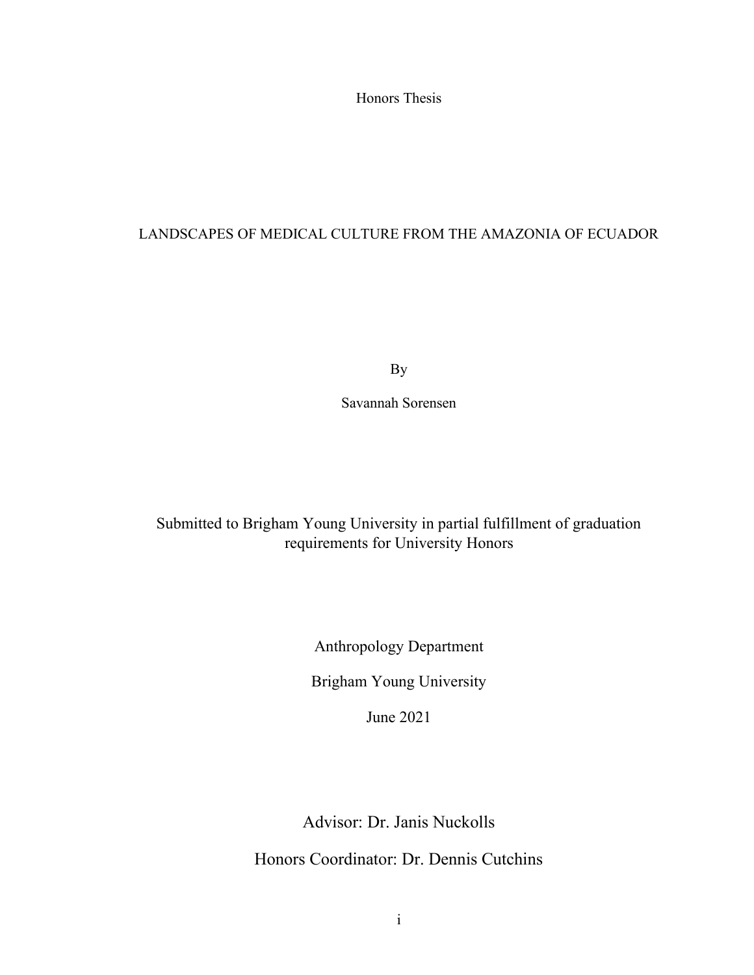Honors Thesis

### LANDSCAPES OF MEDICAL CULTURE FROM THE AMAZONIA OF ECUADOR

By

Savannah Sorensen

# Submitted to Brigham Young University in partial fulfillment of graduation requirements for University Honors

Anthropology Department

Brigham Young University

June 2021

Advisor: Dr. Janis Nuckolls

Honors Coordinator: Dr. Dennis Cutchins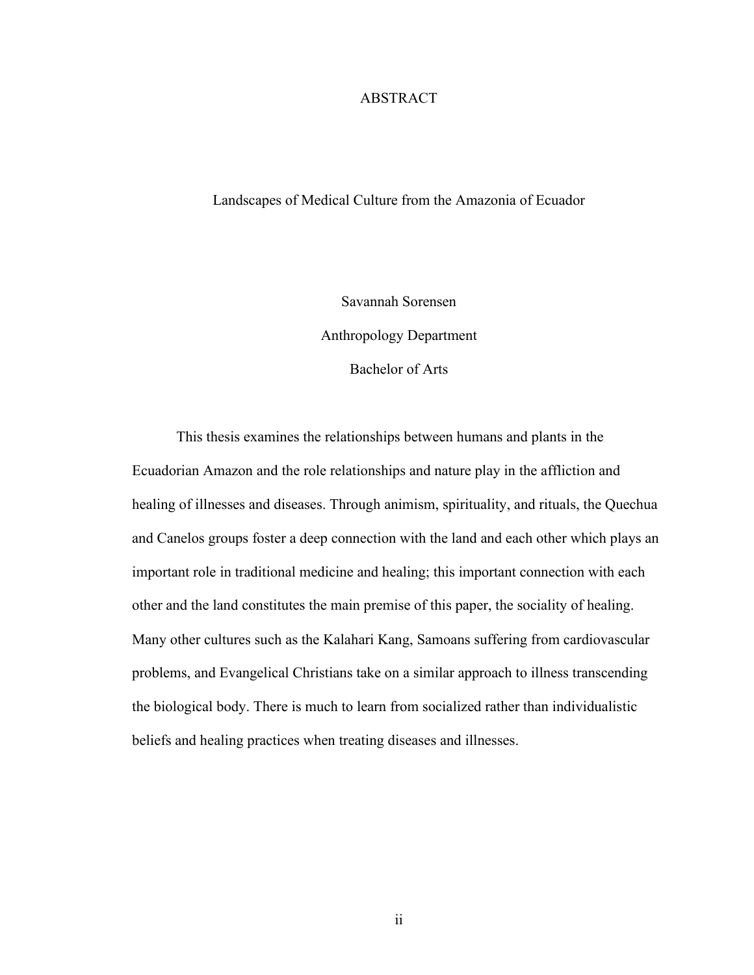#### ABSTRACT

#### Landscapes of Medical Culture from the Amazonia of Ecuador

Savannah Sorensen Anthropology Department Bachelor of Arts

This thesis examines the relationships between humans and plants in the Ecuadorian Amazon and the role relationships and nature play in the affliction and healing of illnesses and diseases. Through animism, spirituality, and rituals, the Quechua and Canelos groups foster a deep connection with the land and each other which plays an important role in traditional medicine and healing; this important connection with each other and the land constitutes the main premise of this paper, the sociality of healing. Many other cultures such as the Kalahari Kang, Samoans suffering from cardiovascular problems, and Evangelical Christians take on a similar approach to illness transcending the biological body. There is much to learn from socialized rather than individualistic beliefs and healing practices when treating diseases and illnesses.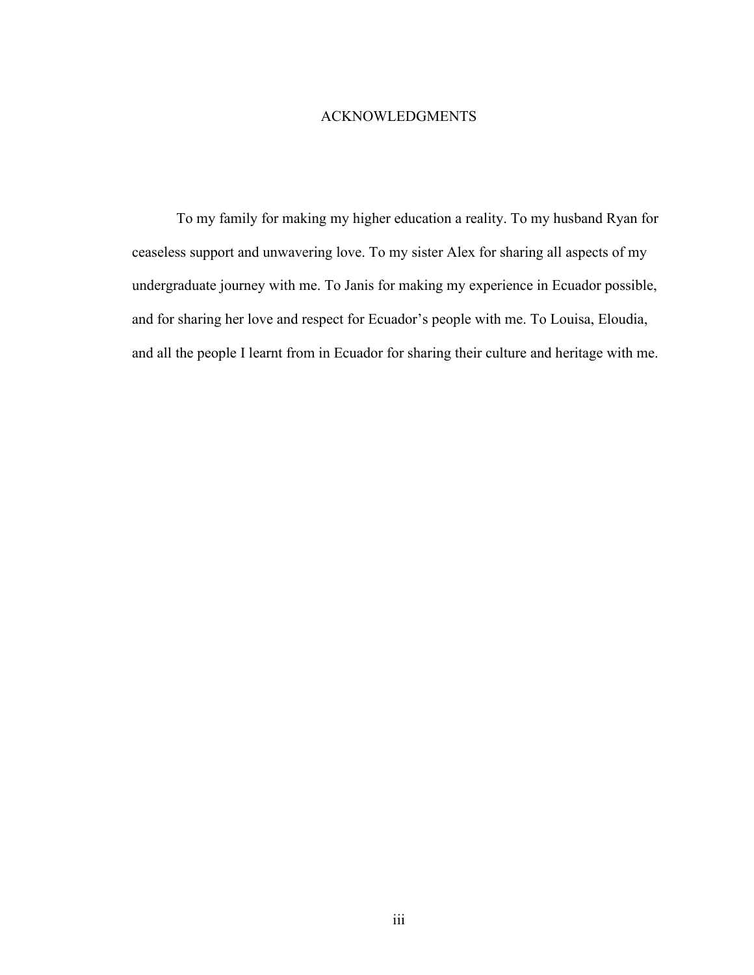### ACKNOWLEDGMENTS

To my family for making my higher education a reality. To my husband Ryan for ceaseless support and unwavering love. To my sister Alex for sharing all aspects of my undergraduate journey with me. To Janis for making my experience in Ecuador possible, and for sharing her love and respect for Ecuador's people with me. To Louisa, Eloudia, and all the people I learnt from in Ecuador for sharing their culture and heritage with me.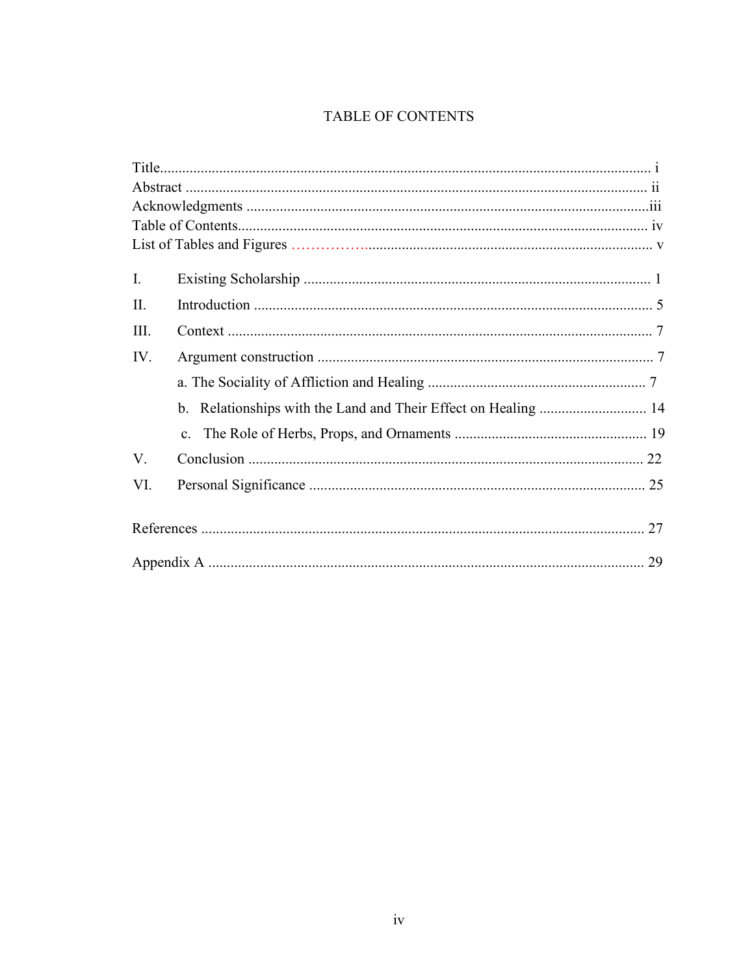## TABLE OF CONTENTS

| Ι.   |  |
|------|--|
| II.  |  |
| III. |  |
| IV.  |  |
|      |  |
|      |  |
|      |  |
| V.   |  |
| VI.  |  |
|      |  |
|      |  |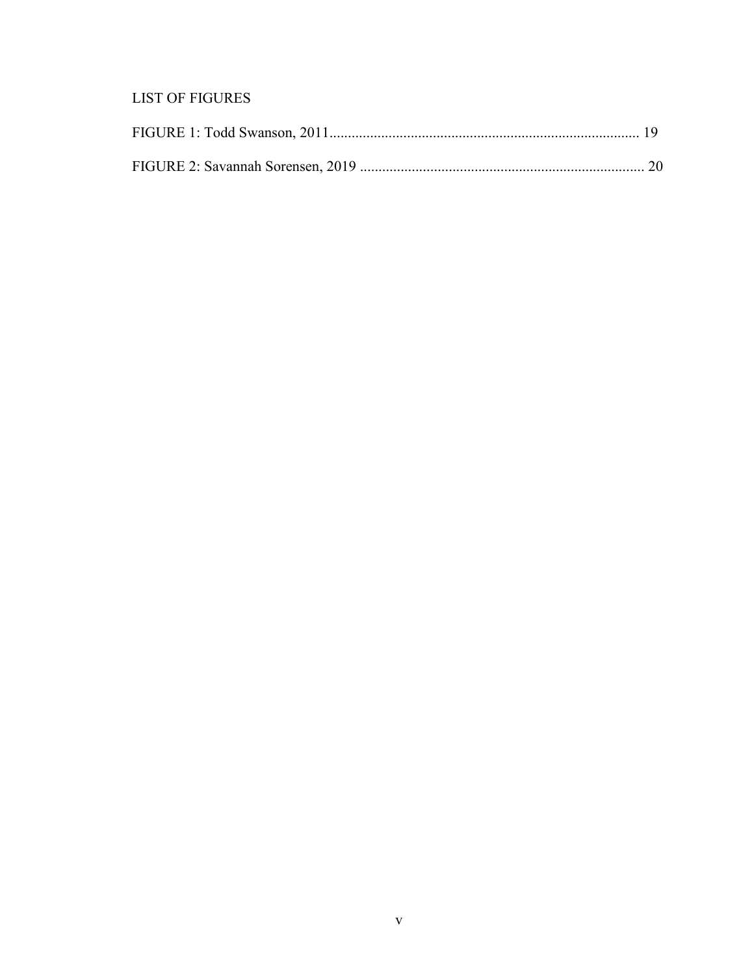# **LIST OF FIGURES**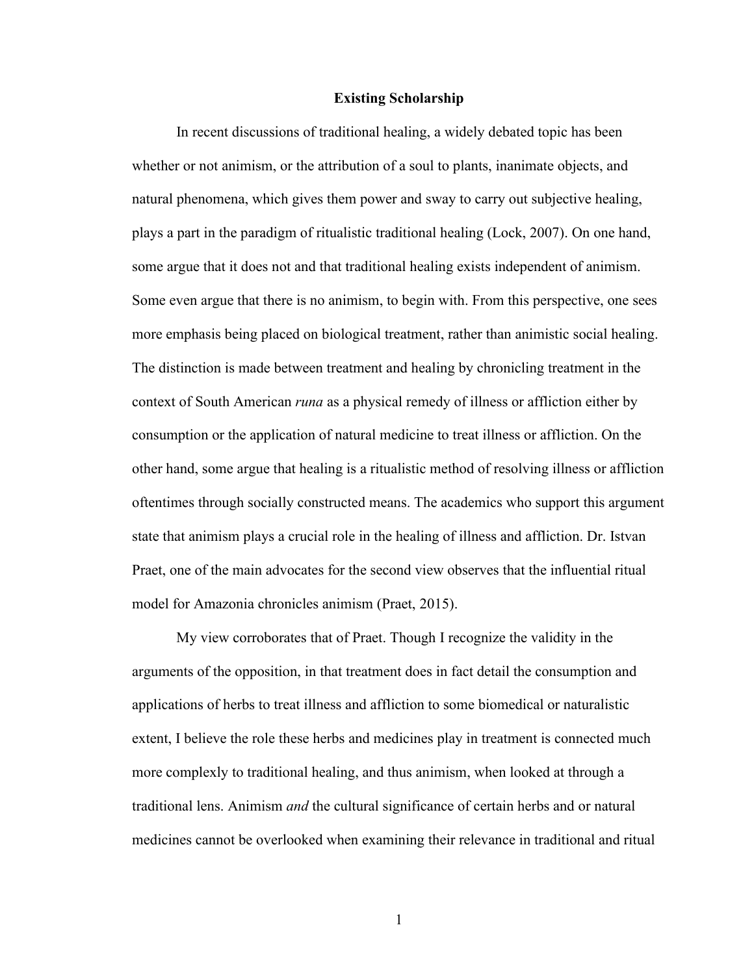#### **Existing Scholarship**

In recent discussions of traditional healing, a widely debated topic has been whether or not animism, or the attribution of a soul to plants, inanimate objects, and natural phenomena, which gives them power and sway to carry out subjective healing, plays a part in the paradigm of ritualistic traditional healing (Lock, 2007). On one hand, some argue that it does not and that traditional healing exists independent of animism. Some even argue that there is no animism, to begin with. From this perspective, one sees more emphasis being placed on biological treatment, rather than animistic social healing. The distinction is made between treatment and healing by chronicling treatment in the context of South American *runa* as a physical remedy of illness or affliction either by consumption or the application of natural medicine to treat illness or affliction. On the other hand, some argue that healing is a ritualistic method of resolving illness or affliction oftentimes through socially constructed means. The academics who support this argument state that animism plays a crucial role in the healing of illness and affliction. Dr. Istvan Praet, one of the main advocates for the second view observes that the influential ritual model for Amazonia chronicles animism (Praet, 2015).

My view corroborates that of Praet. Though I recognize the validity in the arguments of the opposition, in that treatment does in fact detail the consumption and applications of herbs to treat illness and affliction to some biomedical or naturalistic extent, I believe the role these herbs and medicines play in treatment is connected much more complexly to traditional healing, and thus animism, when looked at through a traditional lens. Animism *and* the cultural significance of certain herbs and or natural medicines cannot be overlooked when examining their relevance in traditional and ritual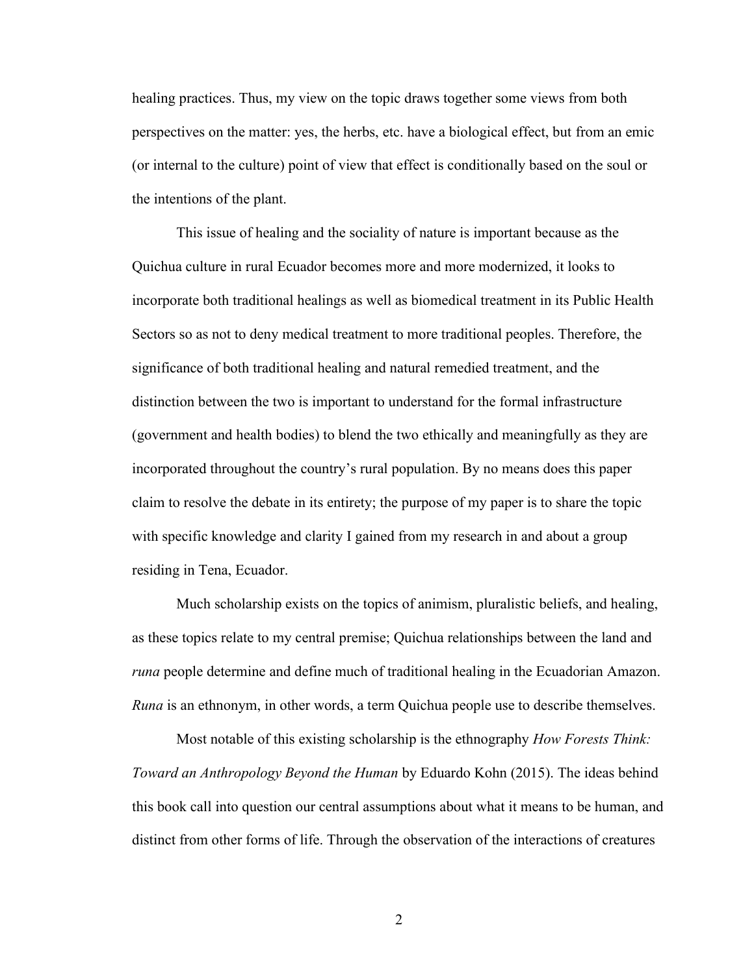healing practices. Thus, my view on the topic draws together some views from both perspectives on the matter: yes, the herbs, etc. have a biological effect, but from an emic (or internal to the culture) point of view that effect is conditionally based on the soul or the intentions of the plant.

This issue of healing and the sociality of nature is important because as the Quichua culture in rural Ecuador becomes more and more modernized, it looks to incorporate both traditional healings as well as biomedical treatment in its Public Health Sectors so as not to deny medical treatment to more traditional peoples. Therefore, the significance of both traditional healing and natural remedied treatment, and the distinction between the two is important to understand for the formal infrastructure (government and health bodies) to blend the two ethically and meaningfully as they are incorporated throughout the country's rural population. By no means does this paper claim to resolve the debate in its entirety; the purpose of my paper is to share the topic with specific knowledge and clarity I gained from my research in and about a group residing in Tena, Ecuador.

Much scholarship exists on the topics of animism, pluralistic beliefs, and healing, as these topics relate to my central premise; Quichua relationships between the land and *runa* people determine and define much of traditional healing in the Ecuadorian Amazon. *Runa* is an ethnonym, in other words, a term Quichua people use to describe themselves.

Most notable of this existing scholarship is the ethnography *How Forests Think: Toward an Anthropology Beyond the Human* by Eduardo Kohn (2015). The ideas behind this book call into question our central assumptions about what it means to be human, and distinct from other forms of life. Through the observation of the interactions of creatures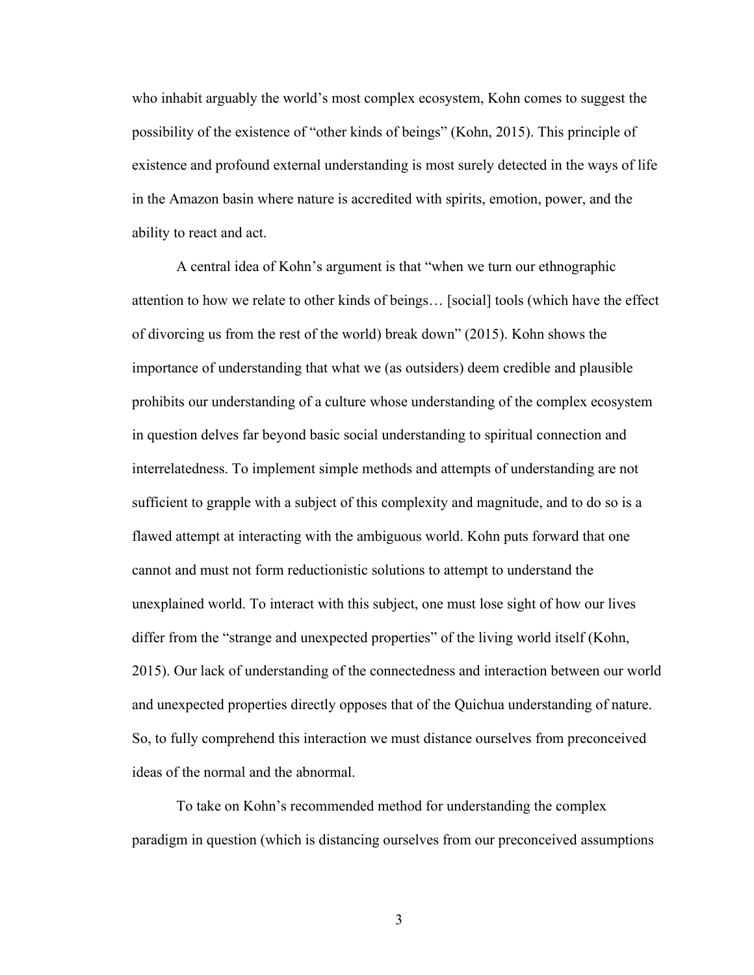who inhabit arguably the world's most complex ecosystem, Kohn comes to suggest the possibility of the existence of "other kinds of beings" (Kohn, 2015). This principle of existence and profound external understanding is most surely detected in the ways of life in the Amazon basin where nature is accredited with spirits, emotion, power, and the ability to react and act.

A central idea of Kohn's argument is that "when we turn our ethnographic attention to how we relate to other kinds of beings… [social] tools (which have the effect of divorcing us from the rest of the world) break down" (2015). Kohn shows the importance of understanding that what we (as outsiders) deem credible and plausible prohibits our understanding of a culture whose understanding of the complex ecosystem in question delves far beyond basic social understanding to spiritual connection and interrelatedness. To implement simple methods and attempts of understanding are not sufficient to grapple with a subject of this complexity and magnitude, and to do so is a flawed attempt at interacting with the ambiguous world. Kohn puts forward that one cannot and must not form reductionistic solutions to attempt to understand the unexplained world. To interact with this subject, one must lose sight of how our lives differ from the "strange and unexpected properties" of the living world itself (Kohn, 2015). Our lack of understanding of the connectedness and interaction between our world and unexpected properties directly opposes that of the Quichua understanding of nature. So, to fully comprehend this interaction we must distance ourselves from preconceived ideas of the normal and the abnormal.

To take on Kohn's recommended method for understanding the complex paradigm in question (which is distancing ourselves from our preconceived assumptions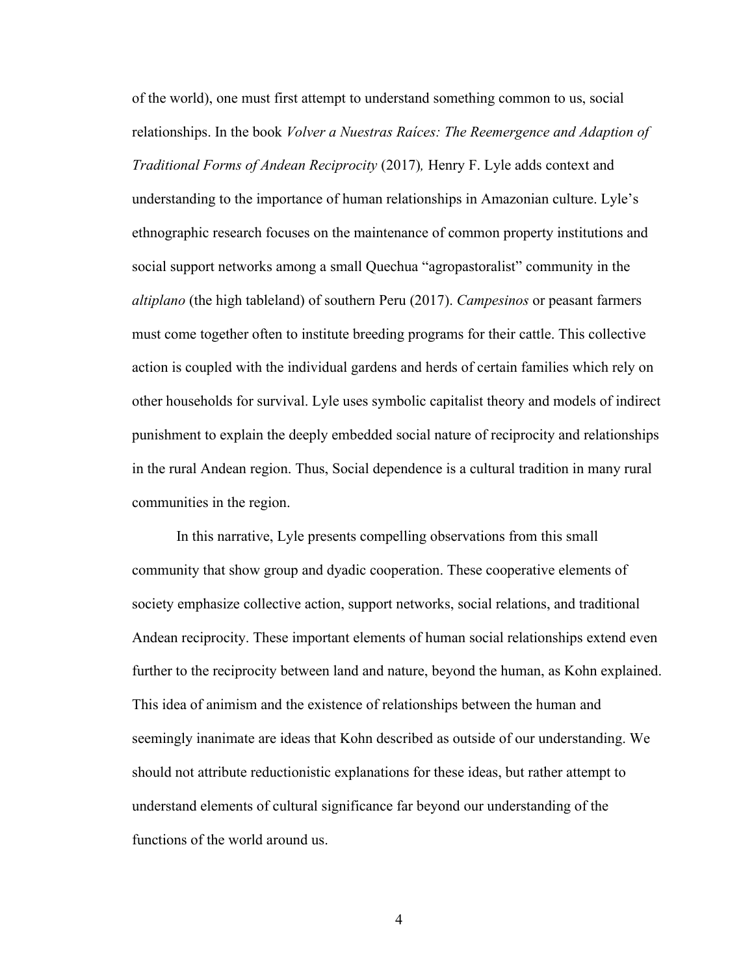of the world), one must first attempt to understand something common to us, social relationships. In the book *Volver a Nuestras Raíces: The Reemergence and Adaption of Traditional Forms of Andean Reciprocity* (2017)*,* Henry F. Lyle adds context and understanding to the importance of human relationships in Amazonian culture. Lyle's ethnographic research focuses on the maintenance of common property institutions and social support networks among a small Quechua "agropastoralist" community in the *altiplano* (the high tableland) of southern Peru (2017). *Campesinos* or peasant farmers must come together often to institute breeding programs for their cattle. This collective action is coupled with the individual gardens and herds of certain families which rely on other households for survival. Lyle uses symbolic capitalist theory and models of indirect punishment to explain the deeply embedded social nature of reciprocity and relationships in the rural Andean region. Thus, Social dependence is a cultural tradition in many rural communities in the region.

In this narrative, Lyle presents compelling observations from this small community that show group and dyadic cooperation. These cooperative elements of society emphasize collective action, support networks, social relations, and traditional Andean reciprocity. These important elements of human social relationships extend even further to the reciprocity between land and nature, beyond the human, as Kohn explained. This idea of animism and the existence of relationships between the human and seemingly inanimate are ideas that Kohn described as outside of our understanding. We should not attribute reductionistic explanations for these ideas, but rather attempt to understand elements of cultural significance far beyond our understanding of the functions of the world around us.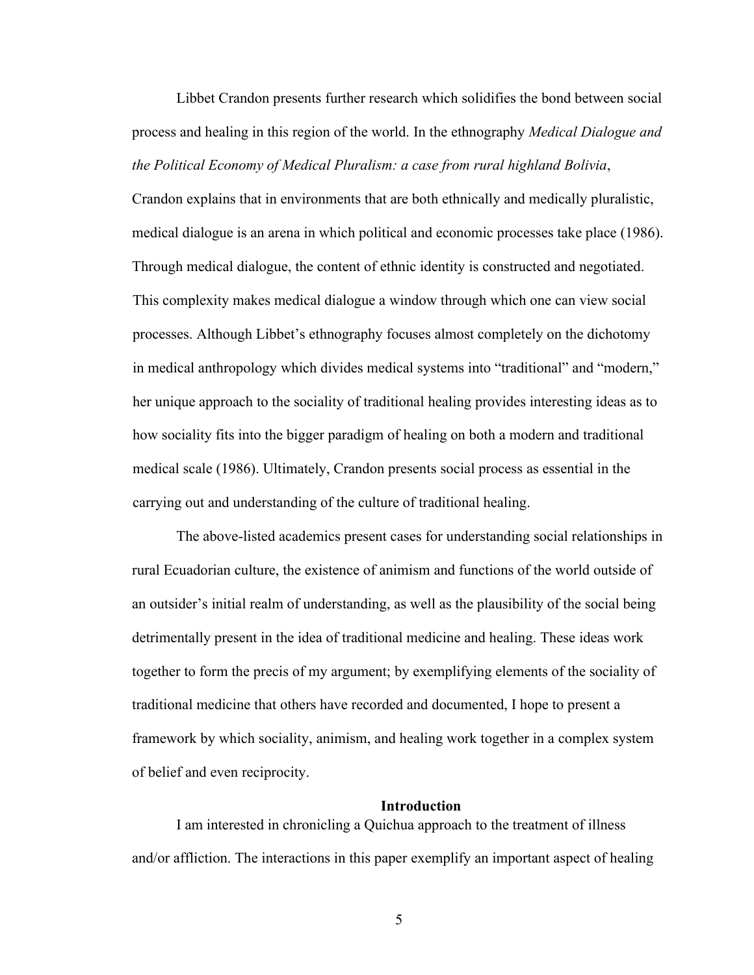Libbet Crandon presents further research which solidifies the bond between social process and healing in this region of the world. In the ethnography *Medical Dialogue and the Political Economy of Medical Pluralism: a case from rural highland Bolivia*,

Crandon explains that in environments that are both ethnically and medically pluralistic, medical dialogue is an arena in which political and economic processes take place (1986). Through medical dialogue, the content of ethnic identity is constructed and negotiated. This complexity makes medical dialogue a window through which one can view social processes. Although Libbet's ethnography focuses almost completely on the dichotomy in medical anthropology which divides medical systems into "traditional" and "modern," her unique approach to the sociality of traditional healing provides interesting ideas as to how sociality fits into the bigger paradigm of healing on both a modern and traditional medical scale (1986). Ultimately, Crandon presents social process as essential in the carrying out and understanding of the culture of traditional healing.

The above-listed academics present cases for understanding social relationships in rural Ecuadorian culture, the existence of animism and functions of the world outside of an outsider's initial realm of understanding, as well as the plausibility of the social being detrimentally present in the idea of traditional medicine and healing. These ideas work together to form the precis of my argument; by exemplifying elements of the sociality of traditional medicine that others have recorded and documented, I hope to present a framework by which sociality, animism, and healing work together in a complex system of belief and even reciprocity.

#### **Introduction**

I am interested in chronicling a Quichua approach to the treatment of illness and/or affliction. The interactions in this paper exemplify an important aspect of healing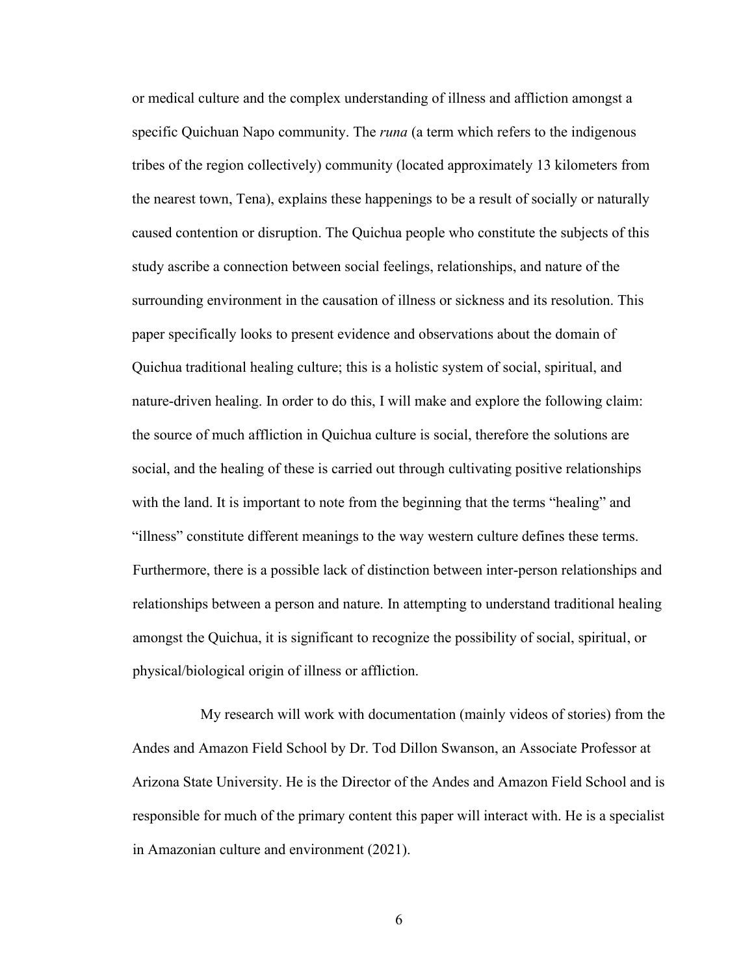or medical culture and the complex understanding of illness and affliction amongst a specific Quichuan Napo community. The *runa* (a term which refers to the indigenous tribes of the region collectively) community (located approximately 13 kilometers from the nearest town, Tena), explains these happenings to be a result of socially or naturally caused contention or disruption. The Quichua people who constitute the subjects of this study ascribe a connection between social feelings, relationships, and nature of the surrounding environment in the causation of illness or sickness and its resolution. This paper specifically looks to present evidence and observations about the domain of Quichua traditional healing culture; this is a holistic system of social, spiritual, and nature-driven healing. In order to do this, I will make and explore the following claim: the source of much affliction in Quichua culture is social, therefore the solutions are social, and the healing of these is carried out through cultivating positive relationships with the land. It is important to note from the beginning that the terms "healing" and "illness" constitute different meanings to the way western culture defines these terms. Furthermore, there is a possible lack of distinction between inter-person relationships and relationships between a person and nature. In attempting to understand traditional healing amongst the Quichua, it is significant to recognize the possibility of social, spiritual, or physical/biological origin of illness or affliction.

My research will work with documentation (mainly videos of stories) from the Andes and Amazon Field School by Dr. Tod Dillon Swanson, an Associate Professor at Arizona State University. He is the Director of the Andes and Amazon Field School and is responsible for much of the primary content this paper will interact with. He is a specialist in Amazonian culture and environment (2021).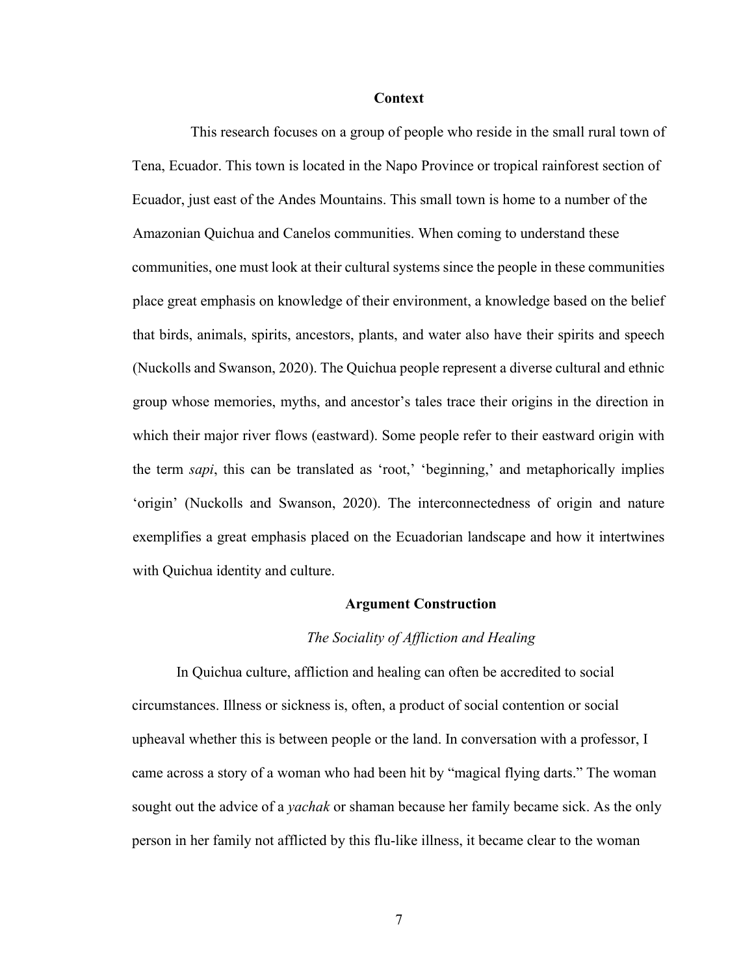#### **Context**

This research focuses on a group of people who reside in the small rural town of Tena, Ecuador. This town is located in the Napo Province or tropical rainforest section of Ecuador, just east of the Andes Mountains. This small town is home to a number of the Amazonian Quichua and Canelos communities. When coming to understand these communities, one must look at their cultural systems since the people in these communities place great emphasis on knowledge of their environment, a knowledge based on the belief that birds, animals, spirits, ancestors, plants, and water also have their spirits and speech (Nuckolls and Swanson, 2020). The Quichua people represent a diverse cultural and ethnic group whose memories, myths, and ancestor's tales trace their origins in the direction in which their major river flows (eastward). Some people refer to their eastward origin with the term *sapi*, this can be translated as 'root,' 'beginning,' and metaphorically implies 'origin' (Nuckolls and Swanson, 2020). The interconnectedness of origin and nature exemplifies a great emphasis placed on the Ecuadorian landscape and how it intertwines with Quichua identity and culture.

#### **Argument Construction**

#### *The Sociality of Affliction and Healing*

In Quichua culture, affliction and healing can often be accredited to social circumstances. Illness or sickness is, often, a product of social contention or social upheaval whether this is between people or the land. In conversation with a professor, I came across a story of a woman who had been hit by "magical flying darts." The woman sought out the advice of a *yachak* or shaman because her family became sick. As the only person in her family not afflicted by this flu-like illness, it became clear to the woman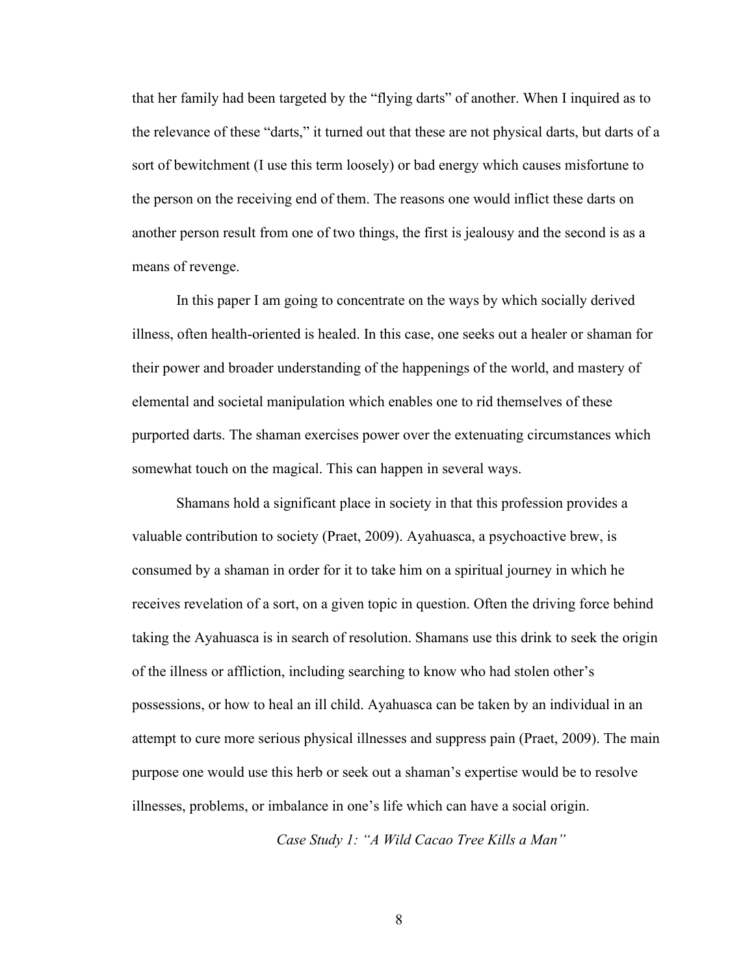that her family had been targeted by the "flying darts" of another. When I inquired as to the relevance of these "darts," it turned out that these are not physical darts, but darts of a sort of bewitchment (I use this term loosely) or bad energy which causes misfortune to the person on the receiving end of them. The reasons one would inflict these darts on another person result from one of two things, the first is jealousy and the second is as a means of revenge.

In this paper I am going to concentrate on the ways by which socially derived illness, often health-oriented is healed. In this case, one seeks out a healer or shaman for their power and broader understanding of the happenings of the world, and mastery of elemental and societal manipulation which enables one to rid themselves of these purported darts. The shaman exercises power over the extenuating circumstances which somewhat touch on the magical. This can happen in several ways.

Shamans hold a significant place in society in that this profession provides a valuable contribution to society (Praet, 2009). Ayahuasca, a psychoactive brew, is consumed by a shaman in order for it to take him on a spiritual journey in which he receives revelation of a sort, on a given topic in question. Often the driving force behind taking the Ayahuasca is in search of resolution. Shamans use this drink to seek the origin of the illness or affliction, including searching to know who had stolen other's possessions, or how to heal an ill child. Ayahuasca can be taken by an individual in an attempt to cure more serious physical illnesses and suppress pain (Praet, 2009). The main purpose one would use this herb or seek out a shaman's expertise would be to resolve illnesses, problems, or imbalance in one's life which can have a social origin.

*Case Study 1: "A Wild Cacao Tree Kills a Man"*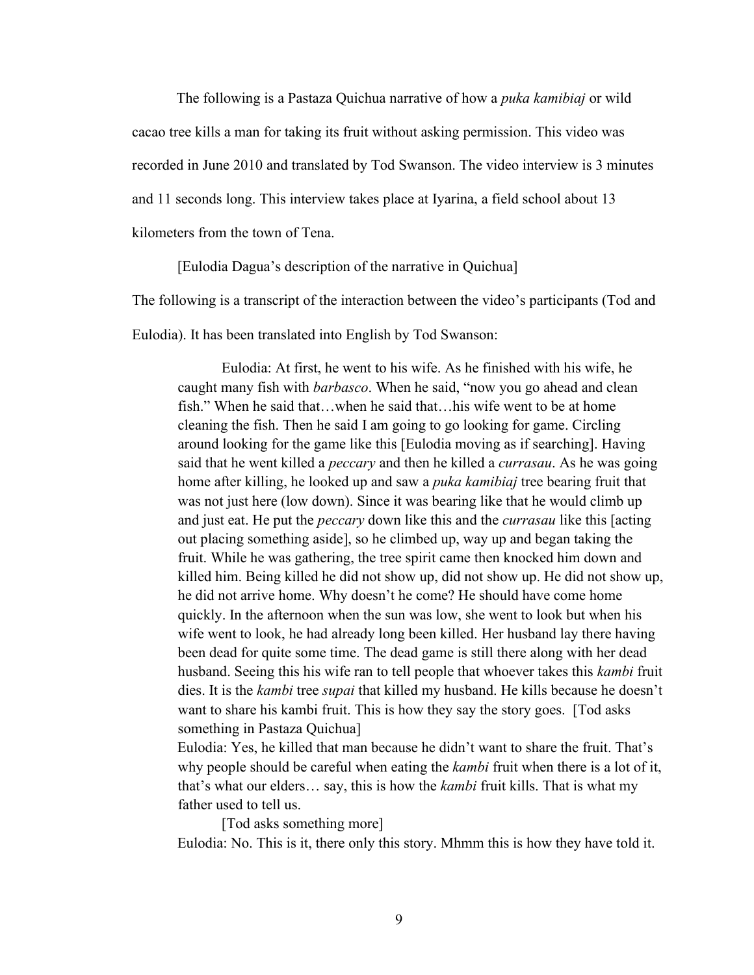The following is a Pastaza Quichua narrative of how a *puka kamibiaj* or wild cacao tree kills a man for taking its fruit without asking permission. This video was recorded in June 2010 and translated by Tod Swanson. The video interview is 3 minutes and 11 seconds long. This interview takes place at Iyarina, a field school about 13 kilometers from the town of Tena.

[Eulodia Dagua's description of the narrative in Quichua]

The following is a transcript of the interaction between the video's participants (Tod and

Eulodia). It has been translated into English by Tod Swanson:

Eulodia: At first, he went to his wife. As he finished with his wife, he caught many fish with *barbasco*. When he said, "now you go ahead and clean fish." When he said that…when he said that…his wife went to be at home cleaning the fish. Then he said I am going to go looking for game. Circling around looking for the game like this [Eulodia moving as if searching]. Having said that he went killed a *peccary* and then he killed a *currasau*. As he was going home after killing, he looked up and saw a *puka kamibiaj* tree bearing fruit that was not just here (low down). Since it was bearing like that he would climb up and just eat. He put the *peccary* down like this and the *currasau* like this [acting out placing something aside], so he climbed up, way up and began taking the fruit. While he was gathering, the tree spirit came then knocked him down and killed him. Being killed he did not show up, did not show up. He did not show up, he did not arrive home. Why doesn't he come? He should have come home quickly. In the afternoon when the sun was low, she went to look but when his wife went to look, he had already long been killed. Her husband lay there having been dead for quite some time. The dead game is still there along with her dead husband. Seeing this his wife ran to tell people that whoever takes this *kambi* fruit dies. It is the *kambi* tree *supai* that killed my husband. He kills because he doesn't want to share his kambi fruit. This is how they say the story goes. [Tod asks something in Pastaza Quichua]

Eulodia: Yes, he killed that man because he didn't want to share the fruit. That's why people should be careful when eating the *kambi* fruit when there is a lot of it, that's what our elders… say, this is how the *kambi* fruit kills. That is what my father used to tell us.

[Tod asks something more] Eulodia: No. This is it, there only this story. Mhmm this is how they have told it.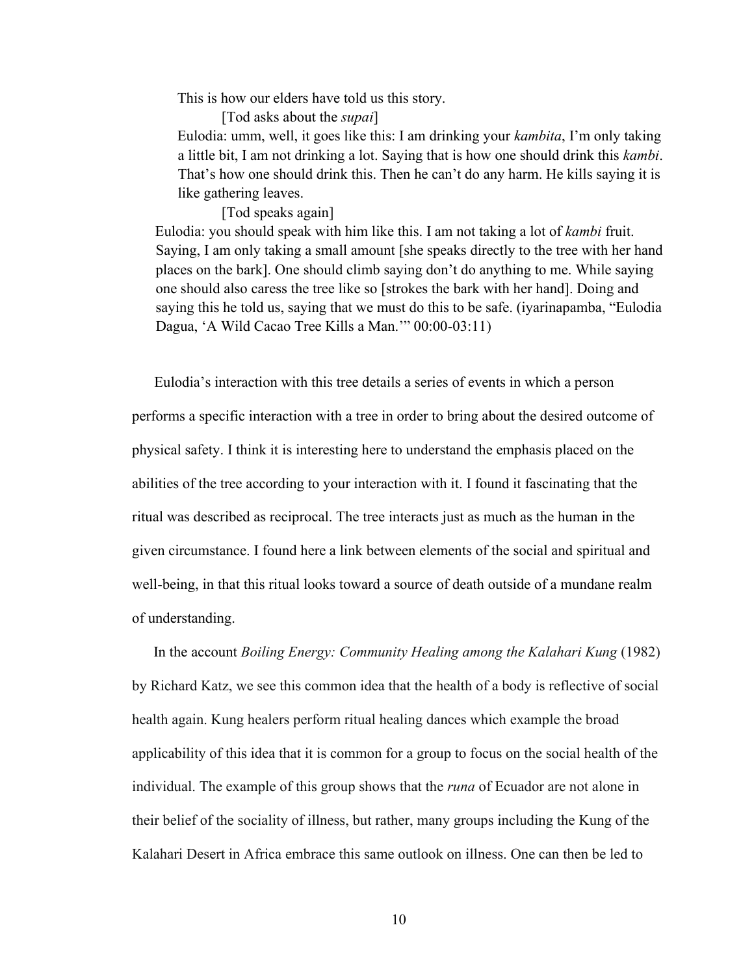This is how our elders have told us this story.

[Tod asks about the *supai*]

Eulodia: umm, well, it goes like this: I am drinking your *kambita*, I'm only taking a little bit, I am not drinking a lot. Saying that is how one should drink this *kambi*. That's how one should drink this. Then he can't do any harm. He kills saying it is like gathering leaves.

[Tod speaks again]

Eulodia: you should speak with him like this. I am not taking a lot of *kambi* fruit. Saying, I am only taking a small amount [she speaks directly to the tree with her hand places on the bark]. One should climb saying don't do anything to me. While saying one should also caress the tree like so [strokes the bark with her hand]. Doing and saying this he told us, saying that we must do this to be safe. (iyarinapamba, "Eulodia Dagua, 'A Wild Cacao Tree Kills a Man.'" 00:00-03:11)

Eulodia's interaction with this tree details a series of events in which a person performs a specific interaction with a tree in order to bring about the desired outcome of physical safety. I think it is interesting here to understand the emphasis placed on the abilities of the tree according to your interaction with it. I found it fascinating that the ritual was described as reciprocal. The tree interacts just as much as the human in the given circumstance. I found here a link between elements of the social and spiritual and well-being, in that this ritual looks toward a source of death outside of a mundane realm of understanding.

In the account *Boiling Energy: Community Healing among the Kalahari Kung* (1982) by Richard Katz, we see this common idea that the health of a body is reflective of social health again. Kung healers perform ritual healing dances which example the broad applicability of this idea that it is common for a group to focus on the social health of the individual. The example of this group shows that the *runa* of Ecuador are not alone in their belief of the sociality of illness, but rather, many groups including the Kung of the Kalahari Desert in Africa embrace this same outlook on illness. One can then be led to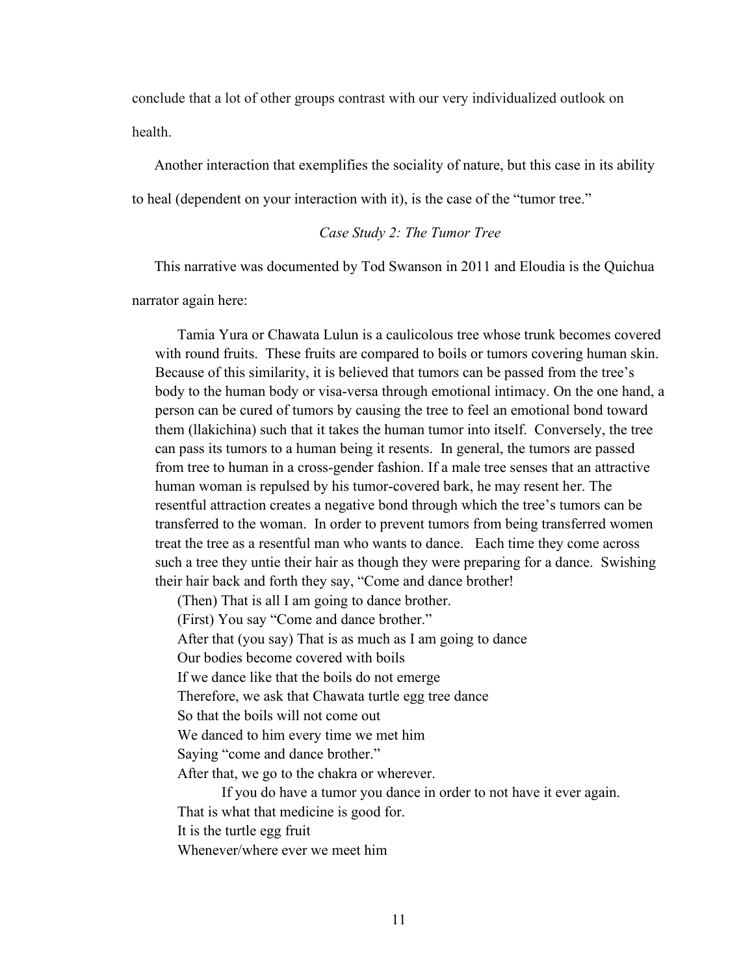conclude that a lot of other groups contrast with our very individualized outlook on health.

Another interaction that exemplifies the sociality of nature, but this case in its ability to heal (dependent on your interaction with it), is the case of the "tumor tree."

#### *Case Study 2: The Tumor Tree*

This narrative was documented by Tod Swanson in 2011 and Eloudia is the Quichua

narrator again here:

Tamia Yura or Chawata Lulun is a caulicolous tree whose trunk becomes covered with round fruits. These fruits are compared to boils or tumors covering human skin. Because of this similarity, it is believed that tumors can be passed from the tree's body to the human body or visa-versa through emotional intimacy. On the one hand, a person can be cured of tumors by causing the tree to feel an emotional bond toward them (llakichina) such that it takes the human tumor into itself. Conversely, the tree can pass its tumors to a human being it resents. In general, the tumors are passed from tree to human in a cross-gender fashion. If a male tree senses that an attractive human woman is repulsed by his tumor-covered bark, he may resent her. The resentful attraction creates a negative bond through which the tree's tumors can be transferred to the woman. In order to prevent tumors from being transferred women treat the tree as a resentful man who wants to dance. Each time they come across such a tree they untie their hair as though they were preparing for a dance. Swishing their hair back and forth they say, "Come and dance brother!

(Then) That is all I am going to dance brother.

(First) You say "Come and dance brother."

After that (you say) That is as much as I am going to dance

Our bodies become covered with boils

If we dance like that the boils do not emerge

Therefore, we ask that Chawata turtle egg tree dance

So that the boils will not come out

We danced to him every time we met him

Saying "come and dance brother."

After that, we go to the chakra or wherever.

If you do have a tumor you dance in order to not have it ever again. That is what that medicine is good for.

It is the turtle egg fruit

Whenever/where ever we meet him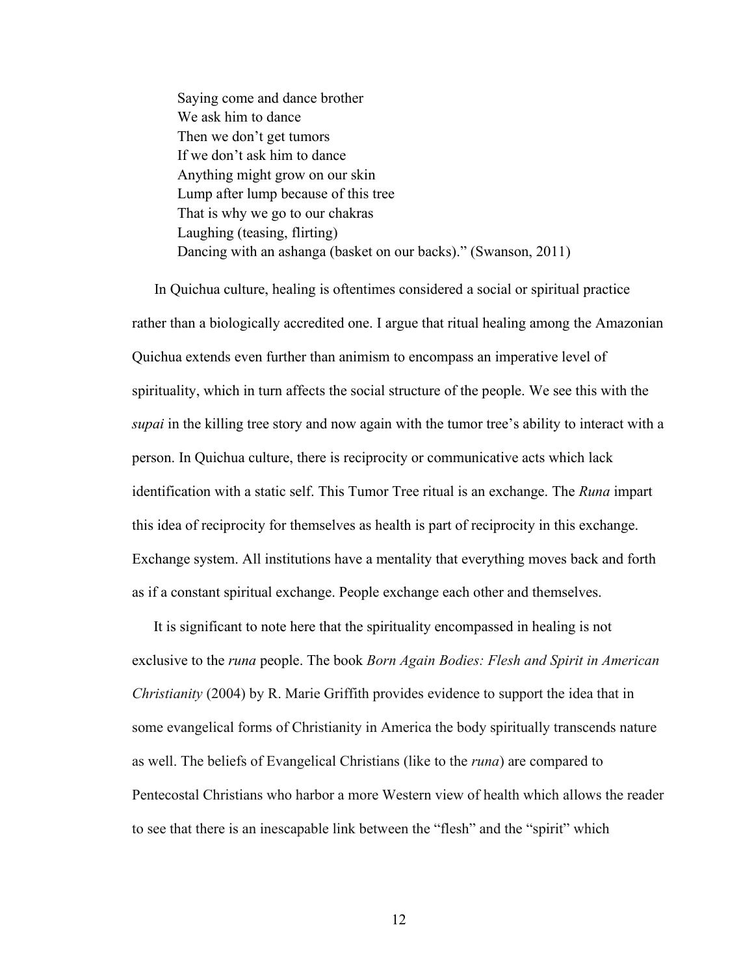Saying come and dance brother We ask him to dance Then we don't get tumors If we don't ask him to dance Anything might grow on our skin Lump after lump because of this tree That is why we go to our chakras Laughing (teasing, flirting) Dancing with an ashanga (basket on our backs)." (Swanson, 2011)

In Quichua culture, healing is oftentimes considered a social or spiritual practice rather than a biologically accredited one. I argue that ritual healing among the Amazonian Quichua extends even further than animism to encompass an imperative level of spirituality, which in turn affects the social structure of the people. We see this with the *supai* in the killing tree story and now again with the tumor tree's ability to interact with a person. In Quichua culture, there is reciprocity or communicative acts which lack identification with a static self. This Tumor Tree ritual is an exchange. The *Runa* impart this idea of reciprocity for themselves as health is part of reciprocity in this exchange. Exchange system. All institutions have a mentality that everything moves back and forth as if a constant spiritual exchange. People exchange each other and themselves.

It is significant to note here that the spirituality encompassed in healing is not exclusive to the *runa* people. The book *Born Again Bodies: Flesh and Spirit in American Christianity* (2004) by R. Marie Griffith provides evidence to support the idea that in some evangelical forms of Christianity in America the body spiritually transcends nature as well. The beliefs of Evangelical Christians (like to the *runa*) are compared to Pentecostal Christians who harbor a more Western view of health which allows the reader to see that there is an inescapable link between the "flesh" and the "spirit" which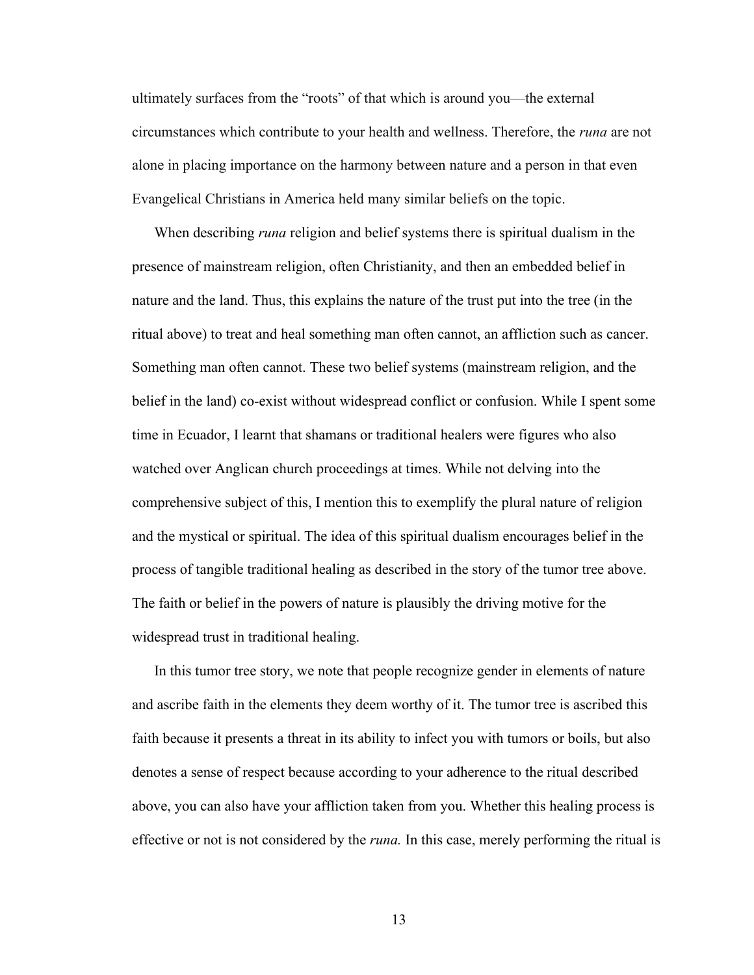ultimately surfaces from the "roots" of that which is around you—the external circumstances which contribute to your health and wellness. Therefore, the *runa* are not alone in placing importance on the harmony between nature and a person in that even Evangelical Christians in America held many similar beliefs on the topic.

When describing *runa* religion and belief systems there is spiritual dualism in the presence of mainstream religion, often Christianity, and then an embedded belief in nature and the land. Thus, this explains the nature of the trust put into the tree (in the ritual above) to treat and heal something man often cannot, an affliction such as cancer. Something man often cannot. These two belief systems (mainstream religion, and the belief in the land) co-exist without widespread conflict or confusion. While I spent some time in Ecuador, I learnt that shamans or traditional healers were figures who also watched over Anglican church proceedings at times. While not delving into the comprehensive subject of this, I mention this to exemplify the plural nature of religion and the mystical or spiritual. The idea of this spiritual dualism encourages belief in the process of tangible traditional healing as described in the story of the tumor tree above. The faith or belief in the powers of nature is plausibly the driving motive for the widespread trust in traditional healing.

In this tumor tree story, we note that people recognize gender in elements of nature and ascribe faith in the elements they deem worthy of it. The tumor tree is ascribed this faith because it presents a threat in its ability to infect you with tumors or boils, but also denotes a sense of respect because according to your adherence to the ritual described above, you can also have your affliction taken from you. Whether this healing process is effective or not is not considered by the *runa.* In this case, merely performing the ritual is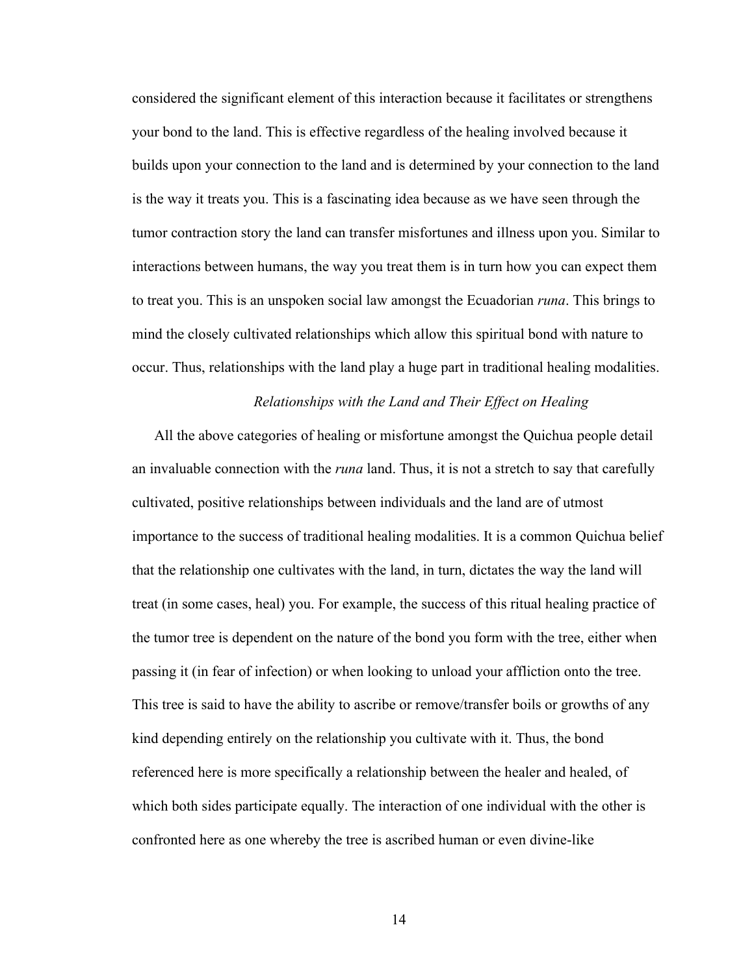considered the significant element of this interaction because it facilitates or strengthens your bond to the land. This is effective regardless of the healing involved because it builds upon your connection to the land and is determined by your connection to the land is the way it treats you. This is a fascinating idea because as we have seen through the tumor contraction story the land can transfer misfortunes and illness upon you. Similar to interactions between humans, the way you treat them is in turn how you can expect them to treat you. This is an unspoken social law amongst the Ecuadorian *runa*. This brings to mind the closely cultivated relationships which allow this spiritual bond with nature to occur. Thus, relationships with the land play a huge part in traditional healing modalities.

### *Relationships with the Land and Their Effect on Healing*

All the above categories of healing or misfortune amongst the Quichua people detail an invaluable connection with the *runa* land. Thus, it is not a stretch to say that carefully cultivated, positive relationships between individuals and the land are of utmost importance to the success of traditional healing modalities. It is a common Quichua belief that the relationship one cultivates with the land, in turn, dictates the way the land will treat (in some cases, heal) you. For example, the success of this ritual healing practice of the tumor tree is dependent on the nature of the bond you form with the tree, either when passing it (in fear of infection) or when looking to unload your affliction onto the tree. This tree is said to have the ability to ascribe or remove/transfer boils or growths of any kind depending entirely on the relationship you cultivate with it. Thus, the bond referenced here is more specifically a relationship between the healer and healed, of which both sides participate equally. The interaction of one individual with the other is confronted here as one whereby the tree is ascribed human or even divine-like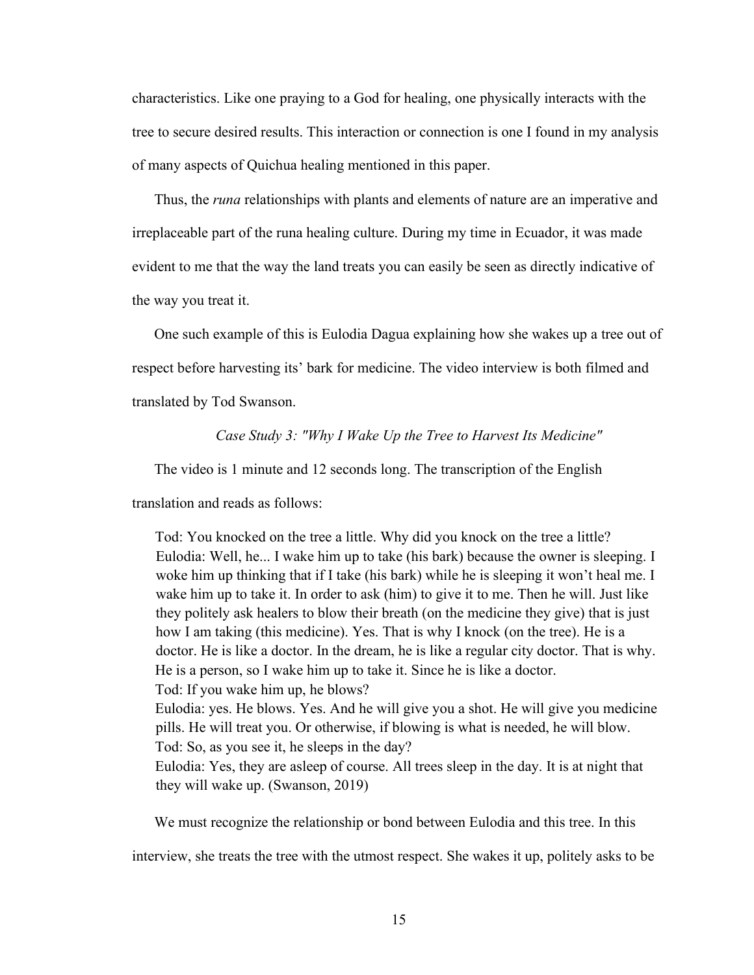characteristics. Like one praying to a God for healing, one physically interacts with the tree to secure desired results. This interaction or connection is one I found in my analysis of many aspects of Quichua healing mentioned in this paper.

Thus, the *runa* relationships with plants and elements of nature are an imperative and irreplaceable part of the runa healing culture. During my time in Ecuador, it was made evident to me that the way the land treats you can easily be seen as directly indicative of the way you treat it.

One such example of this is Eulodia Dagua explaining how she wakes up a tree out of respect before harvesting its' bark for medicine. The video interview is both filmed and translated by Tod Swanson.

#### *Case Study 3: "Why I Wake Up the Tree to Harvest Its Medicine"*

The video is 1 minute and 12 seconds long. The transcription of the English

translation and reads as follows:

Tod: You knocked on the tree a little. Why did you knock on the tree a little? Eulodia: Well, he... I wake him up to take (his bark) because the owner is sleeping. I woke him up thinking that if I take (his bark) while he is sleeping it won't heal me. I wake him up to take it. In order to ask (him) to give it to me. Then he will. Just like they politely ask healers to blow their breath (on the medicine they give) that is just how I am taking (this medicine). Yes. That is why I knock (on the tree). He is a doctor. He is like a doctor. In the dream, he is like a regular city doctor. That is why. He is a person, so I wake him up to take it. Since he is like a doctor. Tod: If you wake him up, he blows? Eulodia: yes. He blows. Yes. And he will give you a shot. He will give you medicine pills. He will treat you. Or otherwise, if blowing is what is needed, he will blow. Tod: So, as you see it, he sleeps in the day? Eulodia: Yes, they are asleep of course. All trees sleep in the day. It is at night that they will wake up. (Swanson, 2019)

We must recognize the relationship or bond between Eulodia and this tree. In this

interview, she treats the tree with the utmost respect. She wakes it up, politely asks to be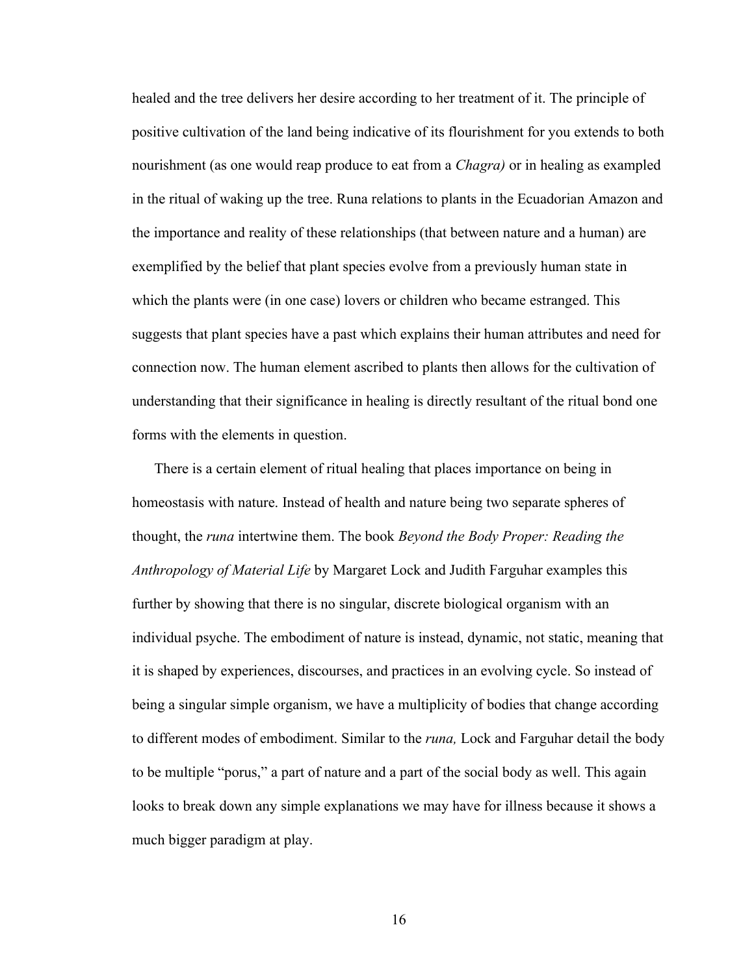healed and the tree delivers her desire according to her treatment of it. The principle of positive cultivation of the land being indicative of its flourishment for you extends to both nourishment (as one would reap produce to eat from a *Chagra)* or in healing as exampled in the ritual of waking up the tree. Runa relations to plants in the Ecuadorian Amazon and the importance and reality of these relationships (that between nature and a human) are exemplified by the belief that plant species evolve from a previously human state in which the plants were (in one case) lovers or children who became estranged. This suggests that plant species have a past which explains their human attributes and need for connection now. The human element ascribed to plants then allows for the cultivation of understanding that their significance in healing is directly resultant of the ritual bond one forms with the elements in question.

There is a certain element of ritual healing that places importance on being in homeostasis with nature. Instead of health and nature being two separate spheres of thought, the *runa* intertwine them. The book *Beyond the Body Proper: Reading the Anthropology of Material Life* by Margaret Lock and Judith Farguhar examples this further by showing that there is no singular, discrete biological organism with an individual psyche. The embodiment of nature is instead, dynamic, not static, meaning that it is shaped by experiences, discourses, and practices in an evolving cycle. So instead of being a singular simple organism, we have a multiplicity of bodies that change according to different modes of embodiment. Similar to the *runa,* Lock and Farguhar detail the body to be multiple "porus," a part of nature and a part of the social body as well. This again looks to break down any simple explanations we may have for illness because it shows a much bigger paradigm at play.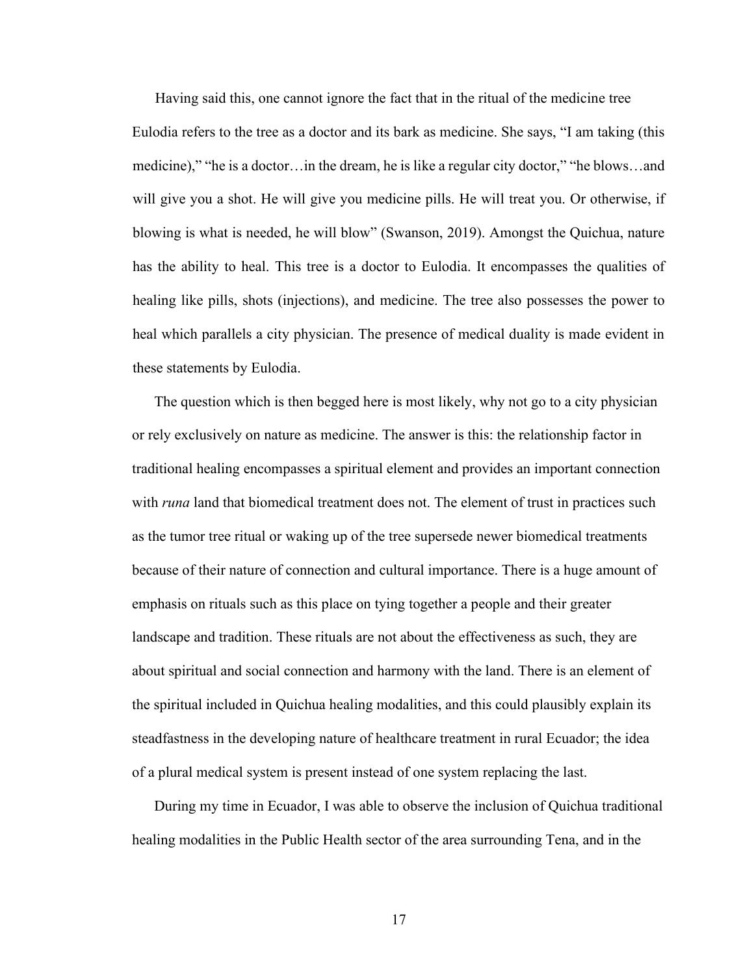Having said this, one cannot ignore the fact that in the ritual of the medicine tree

Eulodia refers to the tree as a doctor and its bark as medicine. She says, "I am taking (this medicine)," "he is a doctor…in the dream, he is like a regular city doctor," "he blows…and will give you a shot. He will give you medicine pills. He will treat you. Or otherwise, if blowing is what is needed, he will blow" (Swanson, 2019). Amongst the Quichua, nature has the ability to heal. This tree is a doctor to Eulodia. It encompasses the qualities of healing like pills, shots (injections), and medicine. The tree also possesses the power to heal which parallels a city physician. The presence of medical duality is made evident in these statements by Eulodia.

The question which is then begged here is most likely, why not go to a city physician or rely exclusively on nature as medicine. The answer is this: the relationship factor in traditional healing encompasses a spiritual element and provides an important connection with *runa* land that biomedical treatment does not. The element of trust in practices such as the tumor tree ritual or waking up of the tree supersede newer biomedical treatments because of their nature of connection and cultural importance. There is a huge amount of emphasis on rituals such as this place on tying together a people and their greater landscape and tradition. These rituals are not about the effectiveness as such, they are about spiritual and social connection and harmony with the land. There is an element of the spiritual included in Quichua healing modalities, and this could plausibly explain its steadfastness in the developing nature of healthcare treatment in rural Ecuador; the idea of a plural medical system is present instead of one system replacing the last.

During my time in Ecuador, I was able to observe the inclusion of Quichua traditional healing modalities in the Public Health sector of the area surrounding Tena, and in the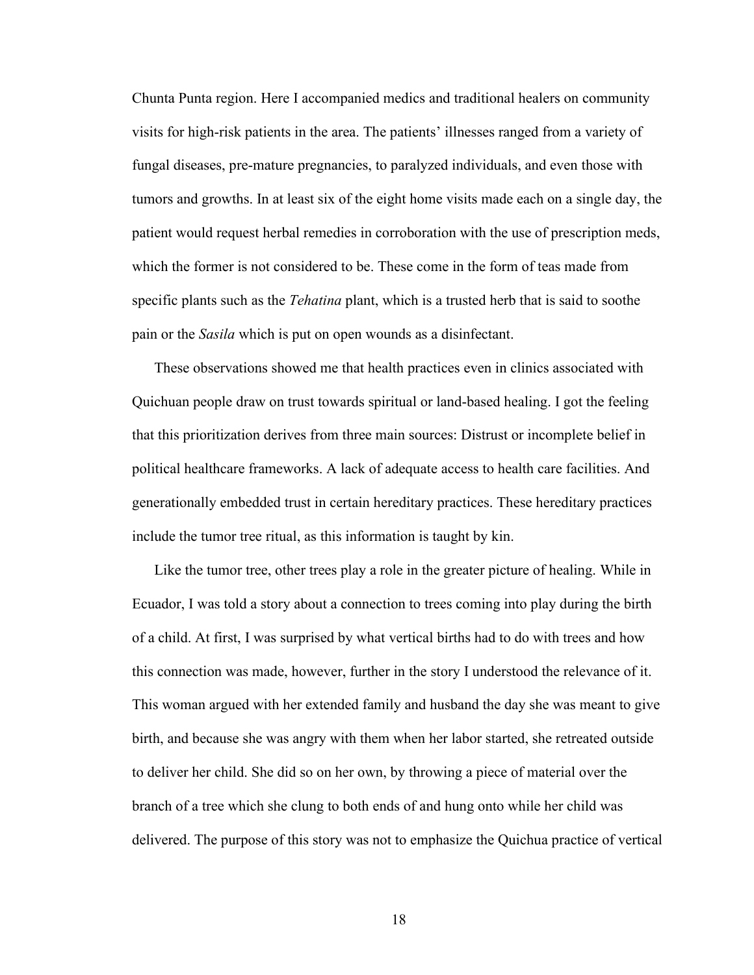Chunta Punta region. Here I accompanied medics and traditional healers on community visits for high-risk patients in the area. The patients' illnesses ranged from a variety of fungal diseases, pre-mature pregnancies, to paralyzed individuals, and even those with tumors and growths. In at least six of the eight home visits made each on a single day, the patient would request herbal remedies in corroboration with the use of prescription meds, which the former is not considered to be. These come in the form of teas made from specific plants such as the *Tehatina* plant, which is a trusted herb that is said to soothe pain or the *Sasila* which is put on open wounds as a disinfectant.

These observations showed me that health practices even in clinics associated with Quichuan people draw on trust towards spiritual or land-based healing. I got the feeling that this prioritization derives from three main sources: Distrust or incomplete belief in political healthcare frameworks. A lack of adequate access to health care facilities. And generationally embedded trust in certain hereditary practices. These hereditary practices include the tumor tree ritual, as this information is taught by kin.

Like the tumor tree, other trees play a role in the greater picture of healing. While in Ecuador, I was told a story about a connection to trees coming into play during the birth of a child. At first, I was surprised by what vertical births had to do with trees and how this connection was made, however, further in the story I understood the relevance of it. This woman argued with her extended family and husband the day she was meant to give birth, and because she was angry with them when her labor started, she retreated outside to deliver her child. She did so on her own, by throwing a piece of material over the branch of a tree which she clung to both ends of and hung onto while her child was delivered. The purpose of this story was not to emphasize the Quichua practice of vertical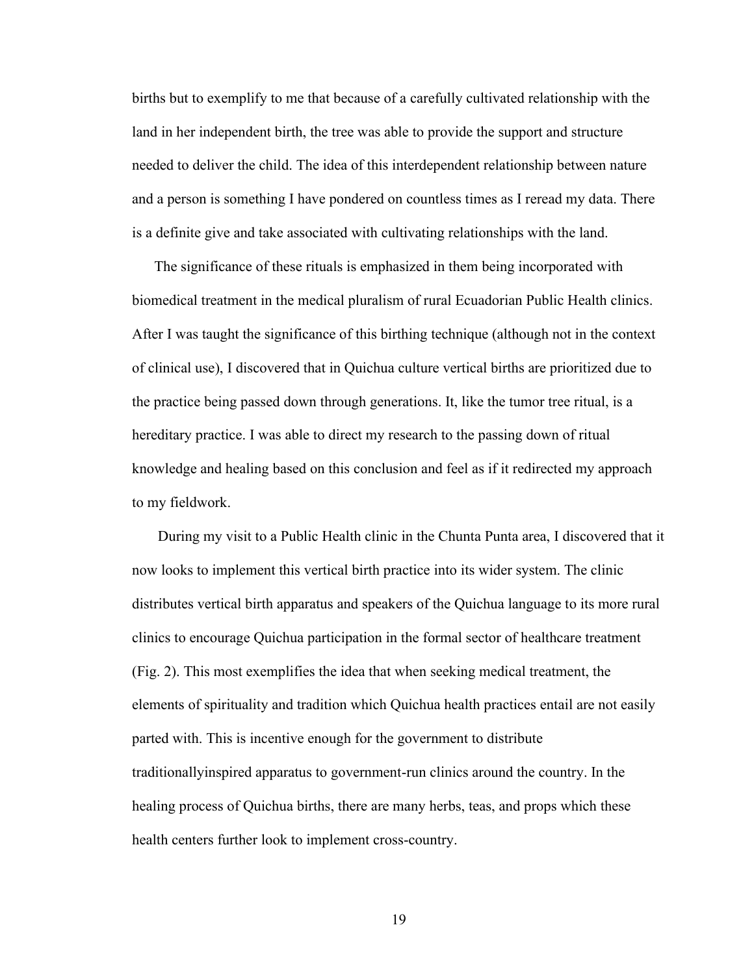births but to exemplify to me that because of a carefully cultivated relationship with the land in her independent birth, the tree was able to provide the support and structure needed to deliver the child. The idea of this interdependent relationship between nature and a person is something I have pondered on countless times as I reread my data. There is a definite give and take associated with cultivating relationships with the land.

The significance of these rituals is emphasized in them being incorporated with biomedical treatment in the medical pluralism of rural Ecuadorian Public Health clinics. After I was taught the significance of this birthing technique (although not in the context of clinical use), I discovered that in Quichua culture vertical births are prioritized due to the practice being passed down through generations. It, like the tumor tree ritual, is a hereditary practice. I was able to direct my research to the passing down of ritual knowledge and healing based on this conclusion and feel as if it redirected my approach to my fieldwork.

During my visit to a Public Health clinic in the Chunta Punta area, I discovered that it now looks to implement this vertical birth practice into its wider system. The clinic distributes vertical birth apparatus and speakers of the Quichua language to its more rural clinics to encourage Quichua participation in the formal sector of healthcare treatment (Fig. 2). This most exemplifies the idea that when seeking medical treatment, the elements of spirituality and tradition which Quichua health practices entail are not easily parted with. This is incentive enough for the government to distribute traditionallyinspired apparatus to government-run clinics around the country. In the healing process of Quichua births, there are many herbs, teas, and props which these health centers further look to implement cross-country.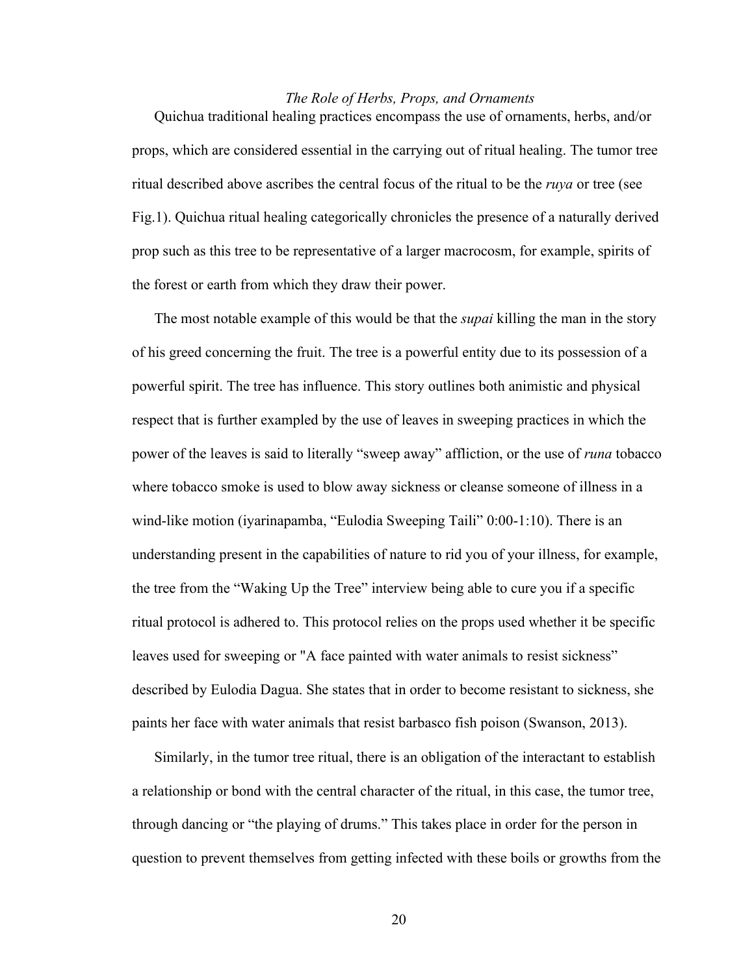### *The Role of Herbs, Props, and Ornaments*

Quichua traditional healing practices encompass the use of ornaments, herbs, and/or props, which are considered essential in the carrying out of ritual healing. The tumor tree ritual described above ascribes the central focus of the ritual to be the *ruya* or tree (see Fig.1). Quichua ritual healing categorically chronicles the presence of a naturally derived prop such as this tree to be representative of a larger macrocosm, for example, spirits of the forest or earth from which they draw their power.

The most notable example of this would be that the *supai* killing the man in the story of his greed concerning the fruit. The tree is a powerful entity due to its possession of a powerful spirit. The tree has influence. This story outlines both animistic and physical respect that is further exampled by the use of leaves in sweeping practices in which the power of the leaves is said to literally "sweep away" affliction, or the use of *runa* tobacco where tobacco smoke is used to blow away sickness or cleanse someone of illness in a wind-like motion (iyarinapamba, "Eulodia Sweeping Taili" 0:00-1:10). There is an understanding present in the capabilities of nature to rid you of your illness, for example, the tree from the "Waking Up the Tree" interview being able to cure you if a specific ritual protocol is adhered to. This protocol relies on the props used whether it be specific leaves used for sweeping or "A face painted with water animals to resist sickness" described by Eulodia Dagua. She states that in order to become resistant to sickness, she paints her face with water animals that resist barbasco fish poison (Swanson, 2013).

Similarly, in the tumor tree ritual, there is an obligation of the interactant to establish a relationship or bond with the central character of the ritual, in this case, the tumor tree, through dancing or "the playing of drums." This takes place in order for the person in question to prevent themselves from getting infected with these boils or growths from the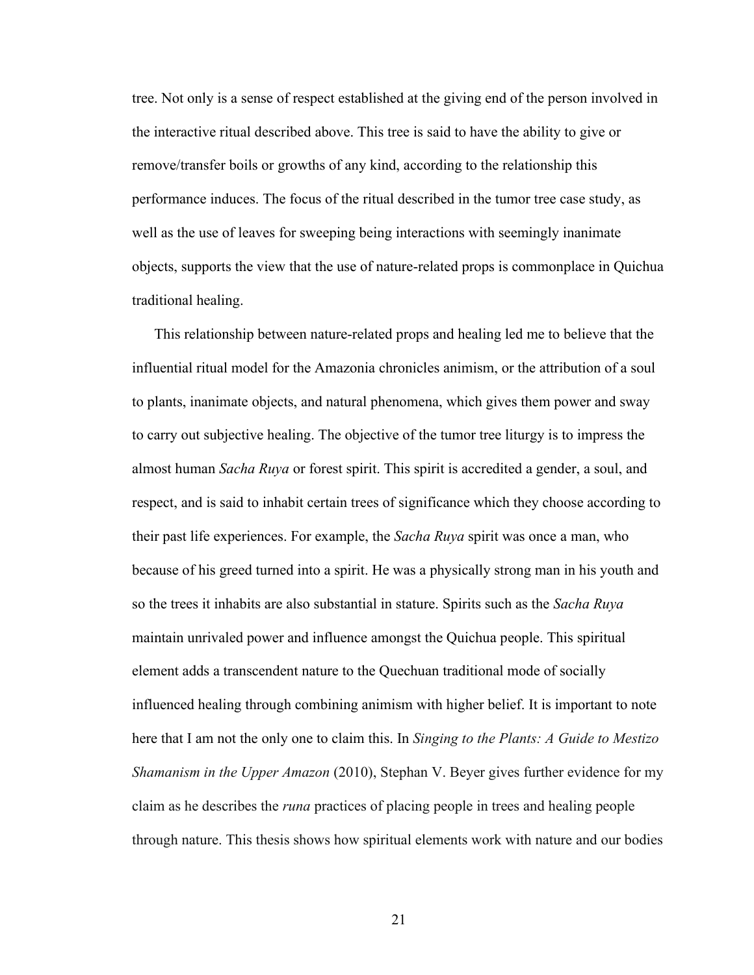tree. Not only is a sense of respect established at the giving end of the person involved in the interactive ritual described above. This tree is said to have the ability to give or remove/transfer boils or growths of any kind, according to the relationship this performance induces. The focus of the ritual described in the tumor tree case study, as well as the use of leaves for sweeping being interactions with seemingly inanimate objects, supports the view that the use of nature-related props is commonplace in Quichua traditional healing.

This relationship between nature-related props and healing led me to believe that the influential ritual model for the Amazonia chronicles animism, or the attribution of a soul to plants, inanimate objects, and natural phenomena, which gives them power and sway to carry out subjective healing. The objective of the tumor tree liturgy is to impress the almost human *Sacha Ruya* or forest spirit. This spirit is accredited a gender, a soul, and respect, and is said to inhabit certain trees of significance which they choose according to their past life experiences. For example, the *Sacha Ruya* spirit was once a man, who because of his greed turned into a spirit. He was a physically strong man in his youth and so the trees it inhabits are also substantial in stature. Spirits such as the *Sacha Ruya*  maintain unrivaled power and influence amongst the Quichua people. This spiritual element adds a transcendent nature to the Quechuan traditional mode of socially influenced healing through combining animism with higher belief. It is important to note here that I am not the only one to claim this. In *Singing to the Plants: A Guide to Mestizo Shamanism in the Upper Amazon* (2010), Stephan V. Beyer gives further evidence for my claim as he describes the *runa* practices of placing people in trees and healing people through nature. This thesis shows how spiritual elements work with nature and our bodies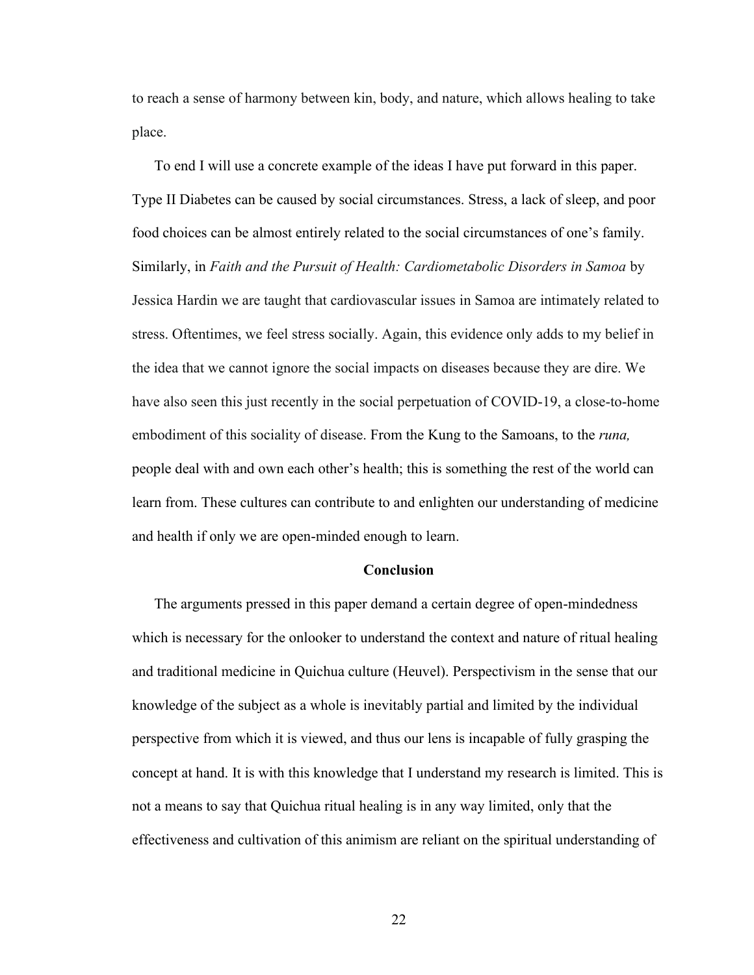to reach a sense of harmony between kin, body, and nature, which allows healing to take place.

To end I will use a concrete example of the ideas I have put forward in this paper. Type II Diabetes can be caused by social circumstances. Stress, a lack of sleep, and poor food choices can be almost entirely related to the social circumstances of one's family. Similarly, in *Faith and the Pursuit of Health: Cardiometabolic Disorders in Samoa* by Jessica Hardin we are taught that cardiovascular issues in Samoa are intimately related to stress. Oftentimes, we feel stress socially. Again, this evidence only adds to my belief in the idea that we cannot ignore the social impacts on diseases because they are dire. We have also seen this just recently in the social perpetuation of COVID-19, a close-to-home embodiment of this sociality of disease. From the Kung to the Samoans, to the *runa,*  people deal with and own each other's health; this is something the rest of the world can learn from. These cultures can contribute to and enlighten our understanding of medicine and health if only we are open-minded enough to learn.

#### **Conclusion**

The arguments pressed in this paper demand a certain degree of open-mindedness which is necessary for the onlooker to understand the context and nature of ritual healing and traditional medicine in Quichua culture (Heuvel). Perspectivism in the sense that our knowledge of the subject as a whole is inevitably partial and limited by the individual perspective from which it is viewed, and thus our lens is incapable of fully grasping the concept at hand. It is with this knowledge that I understand my research is limited. This is not a means to say that Quichua ritual healing is in any way limited, only that the effectiveness and cultivation of this animism are reliant on the spiritual understanding of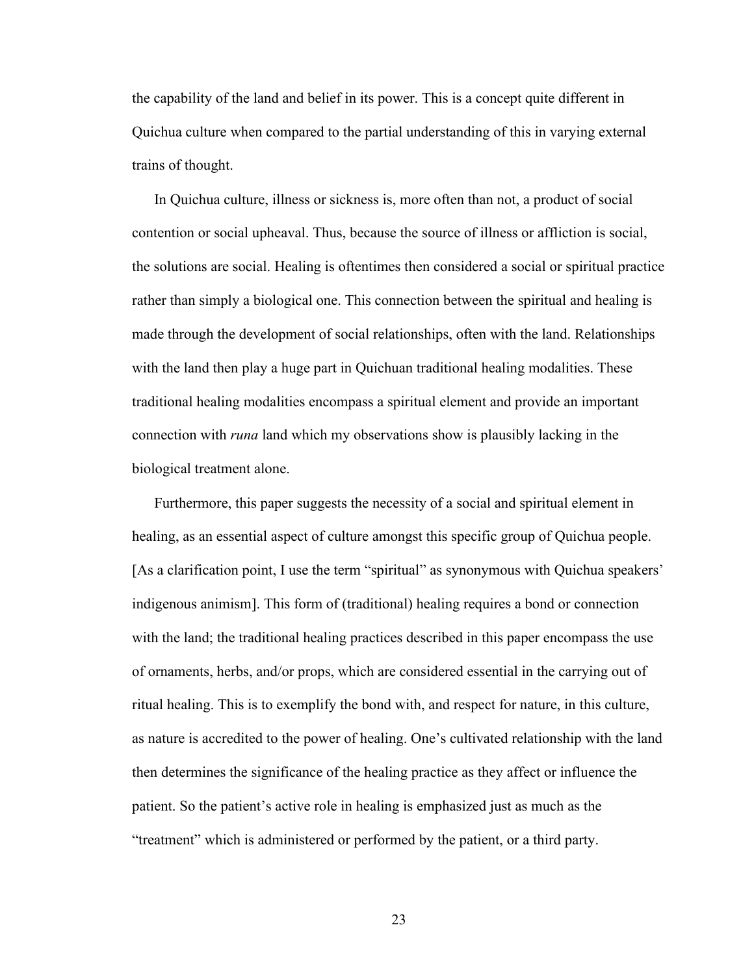the capability of the land and belief in its power. This is a concept quite different in Quichua culture when compared to the partial understanding of this in varying external trains of thought.

In Quichua culture, illness or sickness is, more often than not, a product of social contention or social upheaval. Thus, because the source of illness or affliction is social, the solutions are social. Healing is oftentimes then considered a social or spiritual practice rather than simply a biological one. This connection between the spiritual and healing is made through the development of social relationships, often with the land. Relationships with the land then play a huge part in Quichuan traditional healing modalities. These traditional healing modalities encompass a spiritual element and provide an important connection with *runa* land which my observations show is plausibly lacking in the biological treatment alone.

Furthermore, this paper suggests the necessity of a social and spiritual element in healing, as an essential aspect of culture amongst this specific group of Quichua people. [As a clarification point, I use the term "spiritual" as synonymous with Quichua speakers' indigenous animism]. This form of (traditional) healing requires a bond or connection with the land; the traditional healing practices described in this paper encompass the use of ornaments, herbs, and/or props, which are considered essential in the carrying out of ritual healing. This is to exemplify the bond with, and respect for nature, in this culture, as nature is accredited to the power of healing. One's cultivated relationship with the land then determines the significance of the healing practice as they affect or influence the patient. So the patient's active role in healing is emphasized just as much as the "treatment" which is administered or performed by the patient, or a third party.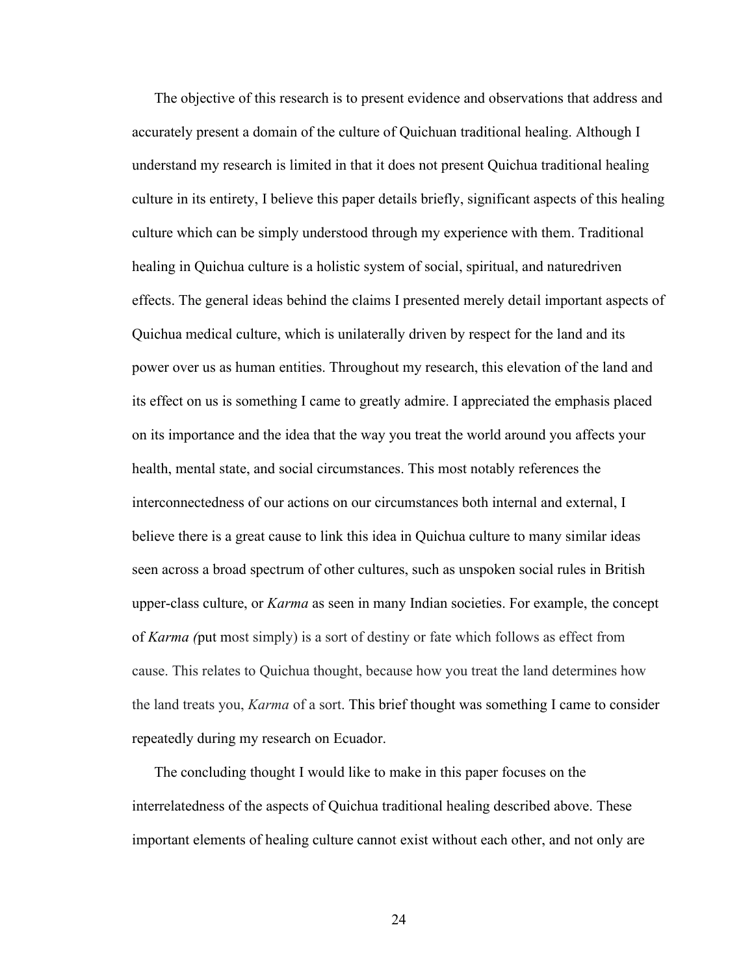The objective of this research is to present evidence and observations that address and accurately present a domain of the culture of Quichuan traditional healing. Although I understand my research is limited in that it does not present Quichua traditional healing culture in its entirety, I believe this paper details briefly, significant aspects of this healing culture which can be simply understood through my experience with them. Traditional healing in Quichua culture is a holistic system of social, spiritual, and naturedriven effects. The general ideas behind the claims I presented merely detail important aspects of Quichua medical culture, which is unilaterally driven by respect for the land and its power over us as human entities. Throughout my research, this elevation of the land and its effect on us is something I came to greatly admire. I appreciated the emphasis placed on its importance and the idea that the way you treat the world around you affects your health, mental state, and social circumstances. This most notably references the interconnectedness of our actions on our circumstances both internal and external, I believe there is a great cause to link this idea in Quichua culture to many similar ideas seen across a broad spectrum of other cultures, such as unspoken social rules in British upper-class culture, or *Karma* as seen in many Indian societies. For example, the concept of *Karma (*put most simply) is a sort of destiny or fate which follows as effect from cause. This relates to Quichua thought, because how you treat the land determines how the land treats you, *Karma* of a sort. This brief thought was something I came to consider repeatedly during my research on Ecuador.

The concluding thought I would like to make in this paper focuses on the interrelatedness of the aspects of Quichua traditional healing described above. These important elements of healing culture cannot exist without each other, and not only are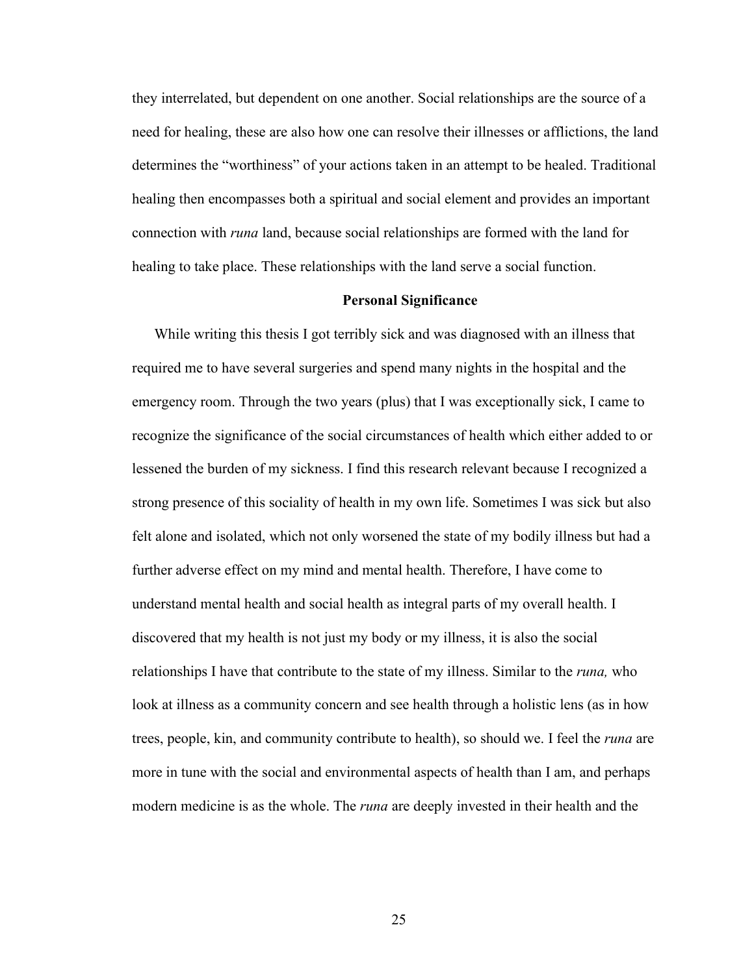they interrelated, but dependent on one another. Social relationships are the source of a need for healing, these are also how one can resolve their illnesses or afflictions, the land determines the "worthiness" of your actions taken in an attempt to be healed. Traditional healing then encompasses both a spiritual and social element and provides an important connection with *runa* land, because social relationships are formed with the land for healing to take place. These relationships with the land serve a social function.

#### **Personal Significance**

While writing this thesis I got terribly sick and was diagnosed with an illness that required me to have several surgeries and spend many nights in the hospital and the emergency room. Through the two years (plus) that I was exceptionally sick, I came to recognize the significance of the social circumstances of health which either added to or lessened the burden of my sickness. I find this research relevant because I recognized a strong presence of this sociality of health in my own life. Sometimes I was sick but also felt alone and isolated, which not only worsened the state of my bodily illness but had a further adverse effect on my mind and mental health. Therefore, I have come to understand mental health and social health as integral parts of my overall health. I discovered that my health is not just my body or my illness, it is also the social relationships I have that contribute to the state of my illness. Similar to the *runa,* who look at illness as a community concern and see health through a holistic lens (as in how trees, people, kin, and community contribute to health), so should we. I feel the *runa* are more in tune with the social and environmental aspects of health than I am, and perhaps modern medicine is as the whole. The *runa* are deeply invested in their health and the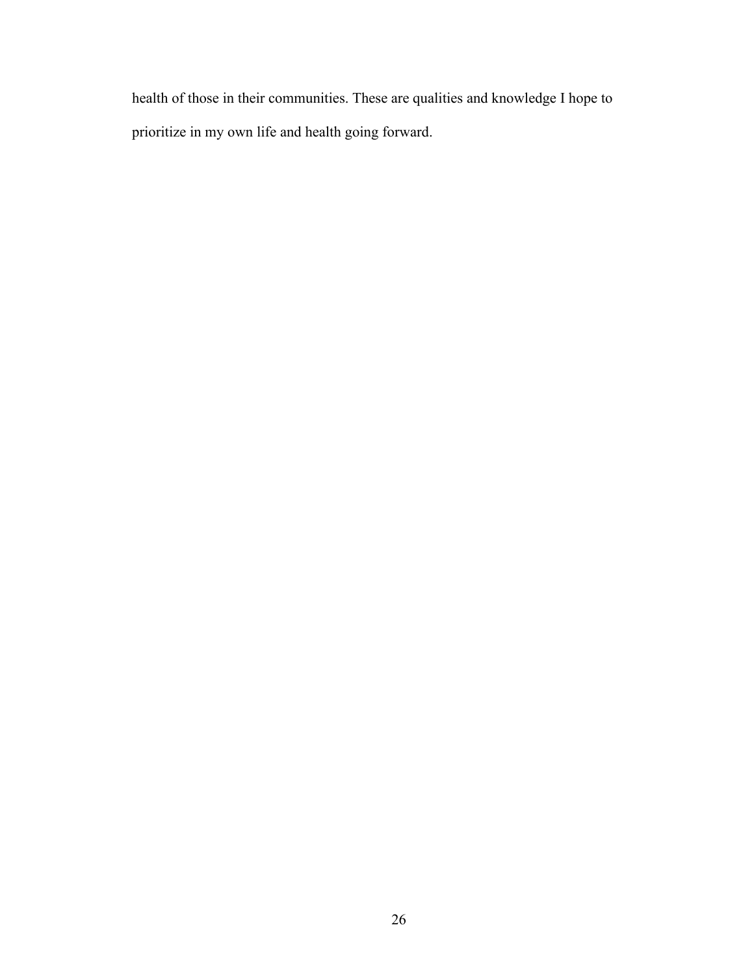health of those in their communities. These are qualities and knowledge I hope to prioritize in my own life and health going forward.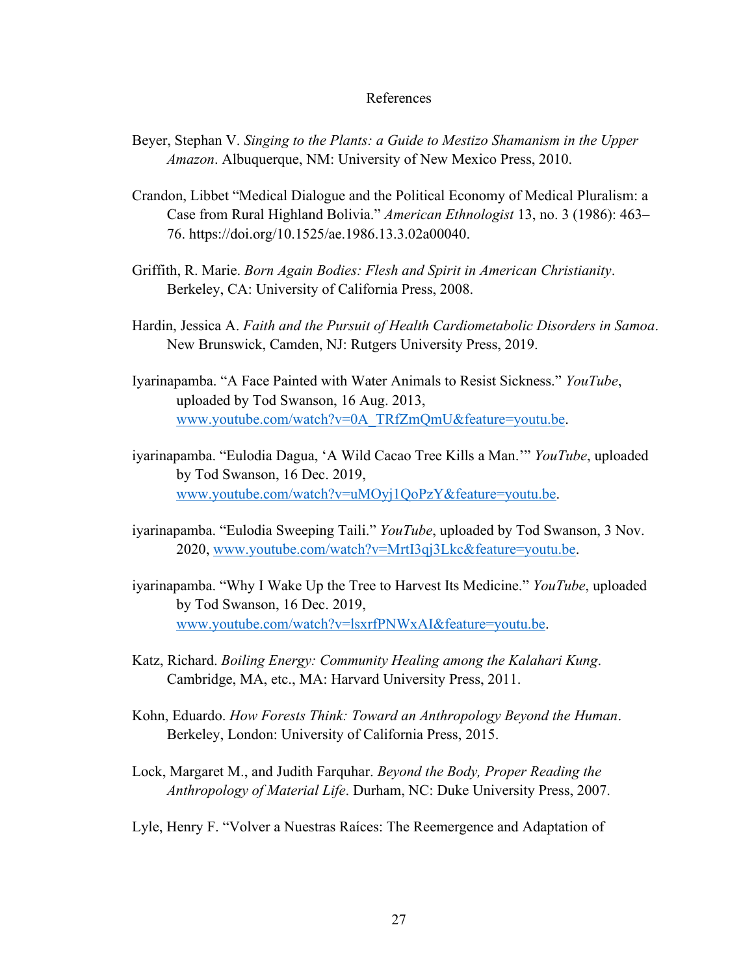#### References

- Beyer, Stephan V. *Singing to the Plants: a Guide to Mestizo Shamanism in the Upper Amazon*. Albuquerque, NM: University of New Mexico Press, 2010.
- Crandon, Libbet "Medical Dialogue and the Political Economy of Medical Pluralism: a Case from Rural Highland Bolivia." *American Ethnologist* 13, no. 3 (1986): 463– 76. https://doi.org/10.1525/ae.1986.13.3.02a00040.
- Griffith, R. Marie. *Born Again Bodies: Flesh and Spirit in American Christianity*. Berkeley, CA: University of California Press, 2008.
- Hardin, Jessica A. *Faith and the Pursuit of Health Cardiometabolic Disorders in Samoa*. New Brunswick, Camden, NJ: Rutgers University Press, 2019.
- Iyarinapamba. "A Face Painted with Water Animals to Resist Sickness." *YouTube*, uploaded by Tod Swanson, 16 Aug. 2013, www.youtube.com/watch?v=0A\_TRfZmQmU&feature=youtu.be.
- iyarinapamba. "Eulodia Dagua, 'A Wild Cacao Tree Kills a Man.'" *YouTube*, uploaded by Tod Swanson, 16 Dec. 2019, www.youtube.com/watch?v=uMOyj1QoPzY&feature=youtu.be.
- iyarinapamba. "Eulodia Sweeping Taili." *YouTube*, uploaded by Tod Swanson, 3 Nov. 2020, www.youtube.com/watch?v=MrtI3qj3Lkc&feature=youtu.be.
- iyarinapamba. "Why I Wake Up the Tree to Harvest Its Medicine." *YouTube*, uploaded by Tod Swanson, 16 Dec. 2019, www.youtube.com/watch?v=lsxrfPNWxAI&feature=youtu.be.
- Katz, Richard. *Boiling Energy: Community Healing among the Kalahari Kung*. Cambridge, MA, etc., MA: Harvard University Press, 2011.
- Kohn, Eduardo. *How Forests Think: Toward an Anthropology Beyond the Human*. Berkeley, London: University of California Press, 2015.
- Lock, Margaret M., and Judith Farquhar. *Beyond the Body, Proper Reading the Anthropology of Material Life*. Durham, NC: Duke University Press, 2007.
- Lyle, Henry F. "Volver a Nuestras Raíces: The Reemergence and Adaptation of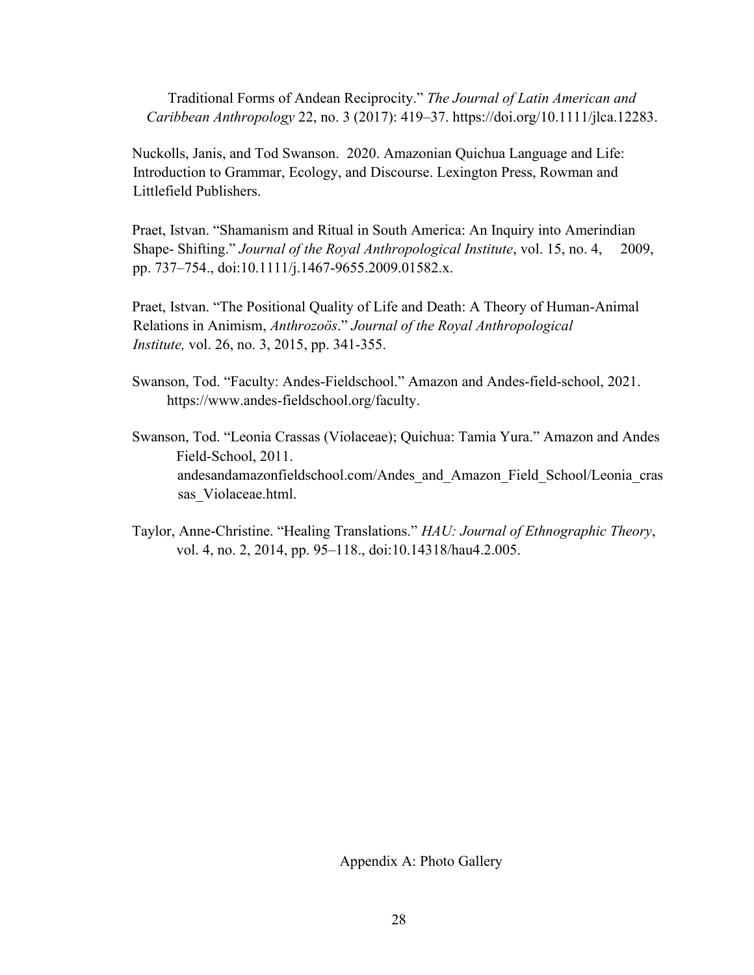Traditional Forms of Andean Reciprocity." *The Journal of Latin American and Caribbean Anthropology* 22, no. 3 (2017): 419–37. https://doi.org/10.1111/jlca.12283.

Nuckolls, Janis, and Tod Swanson. 2020. Amazonian Quichua Language and Life: Introduction to Grammar, Ecology, and Discourse. Lexington Press, Rowman and Littlefield Publishers.

Praet, Istvan. "Shamanism and Ritual in South America: An Inquiry into Amerindian Shape- Shifting." *Journal of the Royal Anthropological Institute*, vol. 15, no. 4, 2009, pp. 737–754., doi:10.1111/j.1467-9655.2009.01582.x.

Praet, Istvan. "The Positional Quality of Life and Death: A Theory of Human-Animal Relations in Animism, *Anthrozoös*." *Journal of the Royal Anthropological Institute,* vol. 26, no. 3, 2015, pp. 341-355.

- Swanson, Tod. "Faculty: Andes-Fieldschool." Amazon and Andes-field-school, 2021. https://www.andes-fieldschool.org/faculty.
- Swanson, Tod. "Leonia Crassas (Violaceae); Quichua: Tamia Yura." Amazon and Andes Field-School, 2011. andesandamazonfieldschool.com/Andes\_and\_Amazon\_Field\_School/Leonia\_cras sas Violaceae.html.
- Taylor, Anne-Christine. "Healing Translations." *HAU: Journal of Ethnographic Theory*, vol. 4, no. 2, 2014, pp. 95–118., doi:10.14318/hau4.2.005.